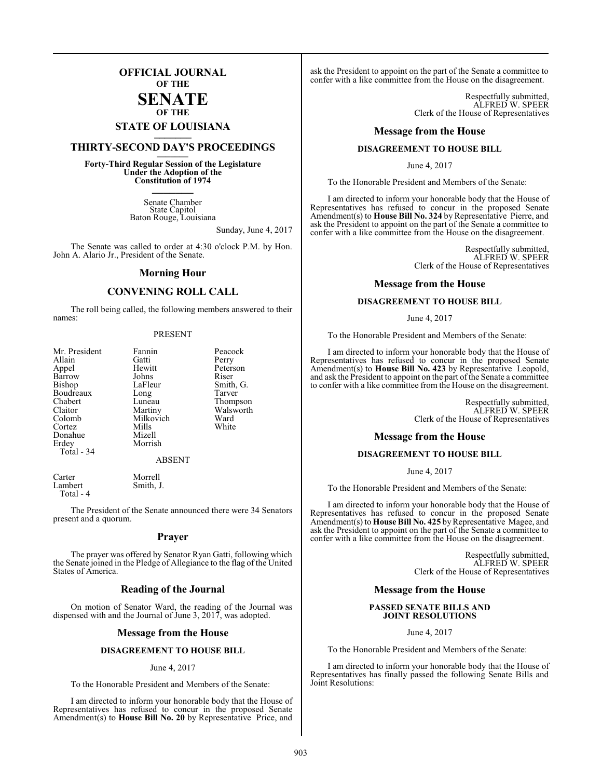## **OFFICIAL JOURNAL OF THE**

#### **SENATE OF THE**

# **STATE OF LOUISIANA \_\_\_\_\_\_\_**

# **THIRTY-SECOND DAY'S PROCEEDINGS \_\_\_\_\_\_\_**

**Forty-Third Regular Session of the Legislature Under the Adoption of the Constitution of 1974 \_\_\_\_\_\_\_**

> Senate Chamber State Capitol Baton Rouge, Louisiana

> > Sunday, June 4, 2017

The Senate was called to order at 4:30 o'clock P.M. by Hon. John A. Alario Jr., President of the Senate.

#### **Morning Hour**

## **CONVENING ROLL CALL**

The roll being called, the following members answered to their names:

#### PRESENT

| Mr. President<br>Allain<br>Appel<br>Barrow<br>Bishop<br>Boudreaux<br>Chabert<br>Claitor<br>Colomb<br>Cortez<br>Donahue<br>Erdey<br>Total - 34 | Fannin<br>Gatti<br>Hewitt<br>Johns<br>LaFleur<br>Long<br>Luneau<br>Martiny<br>Milkovich<br>Mills<br>Mizell<br>Morrish | Peacock<br>Perry<br>Peterson<br>Riser<br>Smith, G.<br>Tarver<br>Thompson<br>Walsworth<br>Ward<br>White |
|-----------------------------------------------------------------------------------------------------------------------------------------------|-----------------------------------------------------------------------------------------------------------------------|--------------------------------------------------------------------------------------------------------|
|                                                                                                                                               | <b>ABSENT</b>                                                                                                         |                                                                                                        |

Smith, J.

Carter Morrell<br>
Lambert Smith Total - 4

The President of the Senate announced there were 34 Senators present and a quorum.

#### **Prayer**

The prayer was offered by Senator Ryan Gatti, following which the Senate joined in the Pledge of Allegiance to the flag of the United States of America.

#### **Reading of the Journal**

On motion of Senator Ward, the reading of the Journal was dispensed with and the Journal of June 3, 2017, was adopted.

#### **Message from the House**

#### **DISAGREEMENT TO HOUSE BILL**

#### June 4, 2017

To the Honorable President and Members of the Senate:

I am directed to inform your honorable body that the House of Representatives has refused to concur in the proposed Senate Amendment(s) to **House Bill No. 20** by Representative Price, and

ask the President to appoint on the part of the Senate a committee to confer with a like committee from the House on the disagreement.

> Respectfully submitted, ALFRED W. SPEER Clerk of the House of Representatives

#### **Message from the House**

#### **DISAGREEMENT TO HOUSE BILL**

June 4, 2017

To the Honorable President and Members of the Senate:

I am directed to inform your honorable body that the House of Representatives has refused to concur in the proposed Senate Amendment(s) to **House Bill No. 324** by Representative Pierre, and ask the President to appoint on the part of the Senate a committee to confer with a like committee from the House on the disagreement.

> Respectfully submitted, ALFRED W. SPEER Clerk of the House of Representatives

#### **Message from the House**

#### **DISAGREEMENT TO HOUSE BILL**

#### June 4, 2017

To the Honorable President and Members of the Senate:

I am directed to inform your honorable body that the House of Representatives has refused to concur in the proposed Senate Amendment(s) to **House Bill No. 423** by Representative Leopold, and ask the President to appoint on the part of the Senate a committee to confer with a like committee from the House on the disagreement.

> Respectfully submitted, ALFRED W. SPEER Clerk of the House of Representatives

#### **Message from the House**

#### **DISAGREEMENT TO HOUSE BILL**

June 4, 2017

To the Honorable President and Members of the Senate:

I am directed to inform your honorable body that the House of Representatives has refused to concur in the proposed Senate Amendment(s) to **House Bill No. 425** by Representative Magee, and ask the President to appoint on the part of the Senate a committee to confer with a like committee from the House on the disagreement.

> Respectfully submitted, ALFRED W. SPEER Clerk of the House of Representatives

#### **Message from the House**

#### **PASSED SENATE BILLS AND JOINT RESOLUTIONS**

June 4, 2017

To the Honorable President and Members of the Senate:

I am directed to inform your honorable body that the House of Representatives has finally passed the following Senate Bills and Joint Resolutions: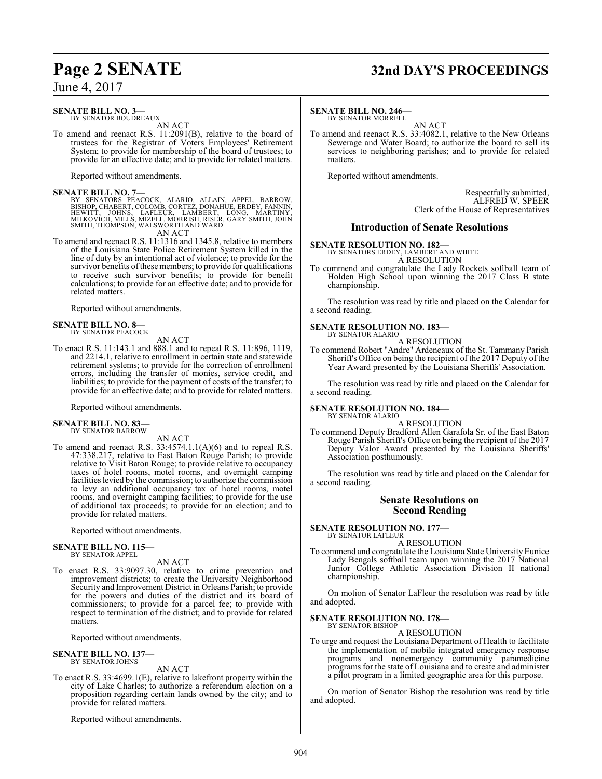# **Page 2 SENATE 32nd DAY'S PROCEEDINGS**

June 4, 2017

## **SENATE BILL NO. 3—**

BY SENATOR BOUDREAUX AN ACT

To amend and reenact R.S. 11:2091(B), relative to the board of trustees for the Registrar of Voters Employees' Retirement System; to provide for membership of the board of trustees; to provide for an effective date; and to provide for related matters.

Reported without amendments.

**SENATE BILL NO. 7—**<br>BY SENATORS PEACOCK, ALARIO, ALLAIN, APPEL, BARROW,<br>BISHOP, CHABERT, COLOMB, CORTEZ, DONAHUE, ERDÉY, FANNIN,<br>HEWITT, JOHNS, LAFLEUR, LAMBERT, LONG, MARTINY,<br>MILKOVICH, MILLS, MIZELL, MORRISH, RISER, GA

AN ACT

To amend and reenact R.S. 11:1316 and 1345.8, relative to members of the Louisiana State Police Retirement System killed in the line of duty by an intentional act of violence; to provide for the survivor benefits of these members; to provide for qualifications to receive such survivor benefits; to provide for benefit calculations; to provide for an effective date; and to provide for related matters.

Reported without amendments.

#### **SENATE BILL NO. 8—** BY SENATOR PEACOCK

AN ACT

To enact R.S. 11:143.1 and 888.1 and to repeal R.S. 11:896, 1119, and 2214.1, relative to enrollment in certain state and statewide retirement systems; to provide for the correction of enrollment errors, including the transfer of monies, service credit, and liabilities; to provide for the payment of costs of the transfer; to provide for an effective date; and to provide for related matters.

Reported without amendments.

#### **SENATE BILL NO. 83—**

BY SENATOR BARROW

AN ACT

To amend and reenact R.S. 33:4574.1.1(A)(6) and to repeal R.S. 47:338.217, relative to East Baton Rouge Parish; to provide relative to Visit Baton Rouge; to provide relative to occupancy taxes of hotel rooms, motel rooms, and overnight camping facilities levied by the commission; to authorize the commission to levy an additional occupancy tax of hotel rooms, motel rooms, and overnight camping facilities; to provide for the use of additional tax proceeds; to provide for an election; and to provide for related matters.

Reported without amendments.

#### **SENATE BILL NO. 115—** BY SENATOR APPEL

AN ACT

To enact R.S. 33:9097.30, relative to crime prevention and improvement districts; to create the University Neighborhood Security and Improvement District in Orleans Parish; to provide for the powers and duties of the district and its board of commissioners; to provide for a parcel fee; to provide with respect to termination of the district; and to provide for related matters.

Reported without amendments.

#### **SENATE BILL NO. 137—** BY SENATOR JOHNS

AN ACT

To enact R.S. 33:4699.1(E), relative to lakefront property within the city of Lake Charles; to authorize a referendum election on a proposition regarding certain lands owned by the city; and to provide for related matters.

Reported without amendments.

#### **SENATE BILL NO. 246—**

BY SENATOR MORRELL AN ACT

To amend and reenact R.S. 33:4082.1, relative to the New Orleans Sewerage and Water Board; to authorize the board to sell its services to neighboring parishes; and to provide for related matters.

Reported without amendments.

Respectfully submitted, ALFRED W. SPEER Clerk of the House of Representatives

#### **Introduction of Senate Resolutions**

**SENATE RESOLUTION NO. 182—** BY SENATORS ERDEY, LAMBERT AND WHITE

A RESOLUTION

To commend and congratulate the Lady Rockets softball team of Holden High School upon winning the 2017 Class B state championship.

The resolution was read by title and placed on the Calendar for a second reading.

#### **SENATE RESOLUTION NO. 183—**

BY SENATOR ALARIO

A RESOLUTION To commend Robert "Andre" Ardeneaux of the St. Tammany Parish Sheriff's Office on being the recipient of the 2017 Deputy of the Year Award presented by the Louisiana Sheriffs' Association.

The resolution was read by title and placed on the Calendar for a second reading.

# **SENATE RESOLUTION NO. 184—** BY SENATOR ALARIO

A RESOLUTION

To commend Deputy Bradford Allen Garafola Sr. of the East Baton Rouge Parish Sheriff's Office on being the recipient of the 2017 Deputy Valor Award presented by the Louisiana Sheriffs' Association posthumously.

The resolution was read by title and placed on the Calendar for a second reading.

#### **Senate Resolutions on Second Reading**

**SENATE RESOLUTION NO. 177—** BY SENATOR LAFLEUR

A RESOLUTION

To commend and congratulate the Louisiana State UniversityEunice Lady Bengals softball team upon winning the 2017 National Junior College Athletic Association Division II national championship.

On motion of Senator LaFleur the resolution was read by title and adopted.

**SENATE RESOLUTION NO. 178—** BY SENATOR BISHOP

A RESOLUTION

To urge and request the Louisiana Department of Health to facilitate the implementation of mobile integrated emergency response programs and nonemergency community paramedicine programs for the state of Louisiana and to create and administer a pilot program in a limited geographic area for this purpose.

On motion of Senator Bishop the resolution was read by title and adopted.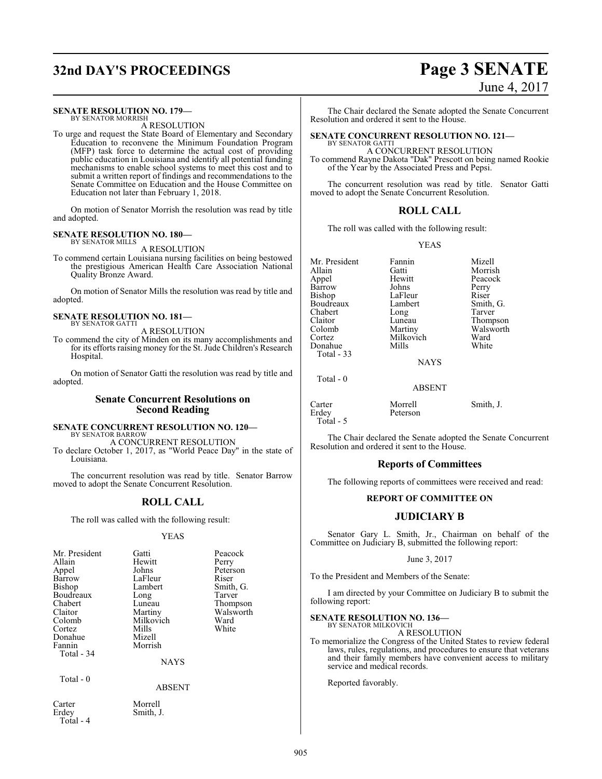# **32nd DAY'S PROCEEDINGS Page 3 SENATE**

#### **SENATE RESOLUTION NO. 179—** BY SENATOR MORRISH

A RESOLUTION

To urge and request the State Board of Elementary and Secondary Education to reconvene the Minimum Foundation Program (MFP) task force to determine the actual cost of providing public education in Louisiana and identify all potential funding mechanisms to enable school systems to meet this cost and to submit a written report of findings and recommendations to the Senate Committee on Education and the House Committee on Education not later than February 1, 2018.

On motion of Senator Morrish the resolution was read by title and adopted.

## **SENATE RESOLUTION NO. 180—** BY SENATOR MILLS

A RESOLUTION

To commend certain Louisiana nursing facilities on being bestowed the prestigious American Health Care Association National Quality Bronze Award.

On motion of Senator Mills the resolution was read by title and adopted.

#### **SENATE RESOLUTION NO. 181—** BY SENATOR GATTI

A RESOLUTION

To commend the city of Minden on its many accomplishments and for its efforts raising money for the St. Jude Children's Research Hospital.

On motion of Senator Gatti the resolution was read by title and adopted.

#### **Senate Concurrent Resolutions on Second Reading**

#### **SENATE CONCURRENT RESOLUTION NO. 120—** BY SENATOR BARROW

A CONCURRENT RESOLUTION To declare October 1, 2017, as "World Peace Day" in the state of Louisiana.

The concurrent resolution was read by title. Senator Barrow moved to adopt the Senate Concurrent Resolution.

## **ROLL CALL**

The roll was called with the following result:

#### YEAS

| Mr. President<br>Allain<br>Appel<br>Barrow<br>Bishop<br>Boudreaux<br>Chabert<br>Claitor<br>Colomb<br>Cortez<br>Donahue<br>Fannin<br>Total - 34 | Gatti<br>Hewitt<br>Johns<br>LaFleur<br>Lambert<br>Long<br>Luneau<br>Martiny<br>Milkovich<br>Mills<br>Mizell<br>Morrish<br><b>NAYS</b> | Peacock<br>Perry<br>Peterson<br>Riser<br>Smith, G.<br>Tarver<br>Thompson<br>Walsworth<br>Ward<br>White |
|------------------------------------------------------------------------------------------------------------------------------------------------|---------------------------------------------------------------------------------------------------------------------------------------|--------------------------------------------------------------------------------------------------------|
| Total - 0                                                                                                                                      |                                                                                                                                       |                                                                                                        |

#### ABSENT

Carter Morrell<br>Erdey Smith, Total - 4

Smith, J.

# June 4, 2017

The Chair declared the Senate adopted the Senate Concurrent Resolution and ordered it sent to the House.

#### **SENATE CONCURRENT RESOLUTION NO. 121—** BY SENATOR GATTI

A CONCURRENT RESOLUTION

To commend Rayne Dakota "Dak" Prescott on being named Rookie of the Year by the Associated Press and Pepsi.

The concurrent resolution was read by title. Senator Gatti moved to adopt the Senate Concurrent Resolution.

## **ROLL CALL**

The roll was called with the following result:

YEAS

Mr. President Fannin Mizell<br>Allain Gatti Morris Appel Hewitt Peacock Barrow Johns Perry<br>Bishop LaFleur Riser Boudreaux Lambert Smith,<br>
Chabert Long Tarver Chabert Long<br>Claitor Luneau Claitor Luneau Thompson<br>Colomb Martiny Walsworth Colomb Martiny Walsworth<br>
Cortez Milkovich Ward Donahue Total - 33

Total - 0

Gatti Morrish<br>
Hewitt Peacock LaFleur Riser<br>Lambert Smith, G. Milkovich Ward<br>
Mills White

NAYS

ABSENT

Carter Morrell Smith, J.<br>
Erdey Peterson Peterson Total - 5

The Chair declared the Senate adopted the Senate Concurrent Resolution and ordered it sent to the House.

## **Reports of Committees**

The following reports of committees were received and read:

#### **REPORT OF COMMITTEE ON**

## **JUDICIARY B**

Senator Gary L. Smith, Jr., Chairman on behalf of the Committee on Judiciary B, submitted the following report:

#### June 3, 2017

To the President and Members of the Senate:

I am directed by your Committee on Judiciary B to submit the following report:

**SENATE RESOLUTION NO. 136—**

BY SENATOR MILKOVICH A RESOLUTION

To memorialize the Congress of the United States to review federal laws, rules, regulations, and procedures to ensure that veterans and their family members have convenient access to military service and medical records.

Reported favorably.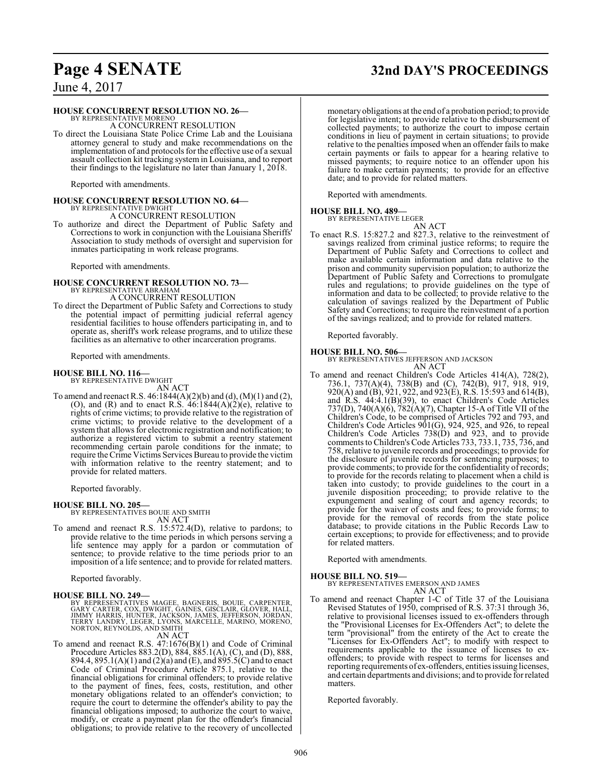# **Page 4 SENATE 32nd DAY'S PROCEEDINGS**

June 4, 2017

#### **HOUSE CONCURRENT RESOLUTION NO. 26—**

BY REPRESENTATIVE MORENO A CONCURRENT RESOLUTION

To direct the Louisiana State Police Crime Lab and the Louisiana attorney general to study and make recommendations on the implementation of and protocols for the effective use of a sexual assault collection kit tracking system in Louisiana, and to report their findings to the legislature no later than January 1, 2018.

Reported with amendments.

# **HOUSE CONCURRENT RESOLUTION NO. 64—** BY REPRESENTATIVE DWIGHT

A CONCURRENT RESOLUTION

To authorize and direct the Department of Public Safety and Corrections to work in conjunction with the Louisiana Sheriffs' Association to study methods of oversight and supervision for inmates participating in work release programs.

Reported with amendments.

# **HOUSE CONCURRENT RESOLUTION NO. 73—** BY REPRESENTATIVE ABRAHAM

A CONCURRENT RESOLUTION

To direct the Department of Public Safety and Corrections to study the potential impact of permitting judicial referral agency residential facilities to house offenders participating in, and to operate as, sheriff's work release programs, and to utilize these facilities as an alternative to other incarceration programs.

Reported with amendments.

# **HOUSE BILL NO. 116—** BY REPRESENTATIVE DWIGHT

AN ACT

To amend and reenact R.S. 46:1844(A)(2)(b) and (d), (M)(1) and (2), (O), and (R) and to enact R.S.  $46:1844(A)(2)(e)$ , relative to rights of crime victims; to provide relative to the registration of crime victims; to provide relative to the development of a system that allows for electronic registration and notification; to authorize a registered victim to submit a reentry statement recommending certain parole conditions for the inmate; to require the Crime Victims Services Bureau to provide the victim with information relative to the reentry statement; and to provide for related matters.

Reported favorably.

#### **HOUSE BILL NO. 205—**

BY REPRESENTATIVES BOUIE AND SMITH AN ACT

To amend and reenact R.S. 15:572.4(D), relative to pardons; to provide relative to the time periods in which persons serving a life sentence may apply for a pardon or commutation of sentence; to provide relative to the time periods prior to an imposition of a life sentence; and to provide for related matters.

Reported favorably.

#### **HOUSE BILL NO. 249—**

BY REPRESENTATIVES MAGEE, BAGNERIS, BOUIE, CARPENTER, GARY CARTER, COX, DWIGHT, GAINES, GISCLAIR, GLOVER, HALL,<br>JIMMY HARRIS, HUNTER, JACKSON, JAMES, JEFFERSON, JORDAN,<br>TERRY LANDRY, LEGER, LYONS, MARCELLE, MARINO, MORENO,<br>NORTON, REYNOLDS, AND SMITH

#### AN ACT

To amend and reenact R.S. 47:1676(B)(1) and Code of Criminal Procedure Articles 883.2(D), 884, 885.1(A), (C), and (D), 888, 894.4, 895.1(A)(1) and (2)(a) and (E), and 895.5(C) and to enact Code of Criminal Procedure Article 875.1, relative to the financial obligations for criminal offenders; to provide relative to the payment of fines, fees, costs, restitution, and other monetary obligations related to an offender's conviction; to require the court to determine the offender's ability to pay the financial obligations imposed; to authorize the court to waive, modify, or create a payment plan for the offender's financial obligations; to provide relative to the recovery of uncollected

monetary obligations at the end of a probation period; to provide for legislative intent; to provide relative to the disbursement of collected payments; to authorize the court to impose certain conditions in lieu of payment in certain situations; to provide relative to the penalties imposed when an offender fails to make certain payments or fails to appear for a hearing relative to missed payments; to require notice to an offender upon his failure to make certain payments; to provide for an effective date; and to provide for related matters.

Reported with amendments.

#### **HOUSE BILL NO. 489—**

BY REPRESENTATIVE LEGER

AN ACT To enact R.S. 15:827.2 and 827.3, relative to the reinvestment of savings realized from criminal justice reforms; to require the Department of Public Safety and Corrections to collect and make available certain information and data relative to the prison and community supervision population; to authorize the Department of Public Safety and Corrections to promulgate rules and regulations; to provide guidelines on the type of information and data to be collected; to provide relative to the calculation of savings realized by the Department of Public Safety and Corrections; to require the reinvestment of a portion of the savings realized; and to provide for related matters.

Reported favorably.

**HOUSE BILL NO. 506—** BY REPRESENTATIVES JEFFERSON AND JACKSON AN ACT

To amend and reenact Children's Code Articles 414(A), 728(2), 736.1, 737(A)(4), 738(B) and (C), 742(B), 917, 918, 919, 920(A) and (B), 921, 922, and 923(E), R.S. 15:593 and 614(B), and R.S. 44:4.1(B)(39), to enact Children's Code Articles 737(D), 740(A)(6), 782(A)(7), Chapter 15-A of Title VII of the Children's Code, to be comprised of Articles 792 and 793, and Children's Code Articles 901(G), 924, 925, and 926, to repeal Children's Code Articles 738(D) and 923, and to provide comments to Children's Code Articles 733, 733.1, 735, 736, and 758, relative to juvenile records and proceedings; to provide for the disclosure of juvenile records for sentencing purposes; to provide comments; to provide for the confidentiality of records; to provide for the records relating to placement when a child is taken into custody; to provide guidelines to the court in a juvenile disposition proceeding; to provide relative to the expungement and sealing of court and agency records; to provide for the waiver of costs and fees; to provide forms; to provide for the removal of records from the state police database; to provide citations in the Public Records Law to certain exceptions; to provide for effectiveness; and to provide for related matters.

Reported with amendments.

**HOUSE BILL NO. 519—** BY REPRESENTATIVES EMERSON AND JAMES AN ACT

To amend and reenact Chapter 1-C of Title 37 of the Louisiana Revised Statutes of 1950, comprised of R.S. 37:31 through 36, relative to provisional licenses issued to ex-offenders through the "Provisional Licenses for Ex-Offenders Act"; to delete the term "provisional" from the entirety of the Act to create the "Licenses for Ex-Offenders Act"; to modify with respect to requirements applicable to the issuance of licenses to exoffenders; to provide with respect to terms for licenses and reporting requirements of ex-offenders, entities issuing licenses, and certain departments and divisions; and to provide for related matters.

Reported favorably.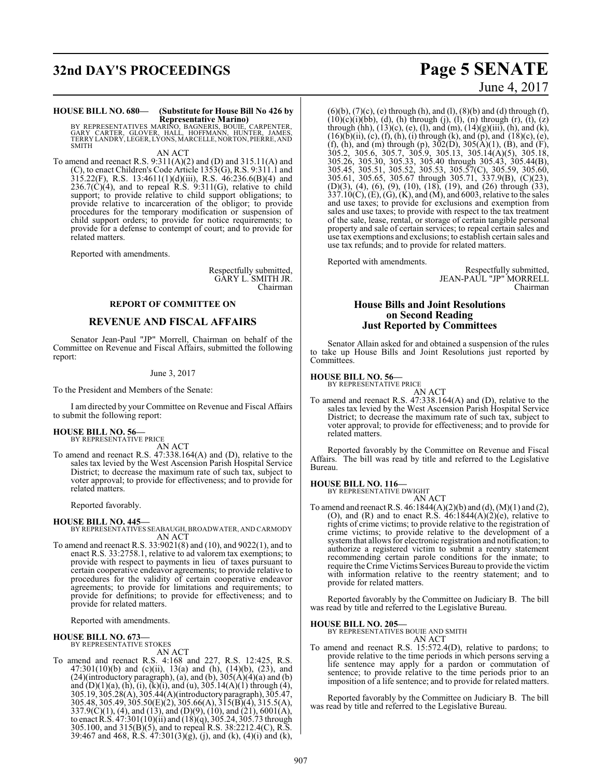# **32nd DAY'S PROCEEDINGS Page 5 SENATE**

# **HOUSE BILL NO. 680— (Substitute for House Bill No 426 by**

**Representative Marino)<br>BY REPRESENTATIVES MARINO, BAGNERIS, BOUIE, CARPENTER,<br>GARY CARTER, GLOVER, HALL, HOFFMANN, HUNTER, JAMES,<br>TERRY LANDRY, LEGER, LYONS, MARCELLE, NORTON, PIERRE, AND** SMITH

AN ACT

To amend and reenact R.S. 9:311(A)(2) and (D) and 315.11(A) and (C), to enact Children's Code Article 1353(G), R.S. 9:311.1 and 315.22(F), R.S. 13:4611(1)(d)(iii), R.S. 46:236.6(B)(4) and  $236.7(\dot{C})(4)$ , and to repeal R.S.  $9:311(G)$ , relative to child support; to provide relative to child support obligations; to provide relative to incarceration of the obligor; to provide procedures for the temporary modification or suspension of child support orders; to provide for notice requirements; to provide for a defense to contempt of court; and to provide for related matters.

Reported with amendments.

Respectfully submitted, GARY L. SMITH JR. Chairman

#### **REPORT OF COMMITTEE ON**

#### **REVENUE AND FISCAL AFFAIRS**

Senator Jean-Paul "JP" Morrell, Chairman on behalf of the Committee on Revenue and Fiscal Affairs, submitted the following report:

#### June 3, 2017

To the President and Members of the Senate:

I am directed by your Committee on Revenue and Fiscal Affairs to submit the following report:

#### **HOUSE BILL NO. 56—**

BY REPRESENTATIVE PRICE AN ACT

To amend and reenact R.S. 47:338.164(A) and (D), relative to the sales tax levied by the West Ascension Parish Hospital Service District; to decrease the maximum rate of such tax, subject to voter approval; to provide for effectiveness; and to provide for related matters.

Reported favorably.

#### **HOUSE BILL NO. 445—**

BY REPRESENTATIVES SEABAUGH, BROADWATER, AND CARMODY AN ACT

To amend and reenact R.S. 33:9021(8) and (10), and 9022(1), and to enact R.S. 33:2758.1, relative to ad valorem tax exemptions; to provide with respect to payments in lieu of taxes pursuant to certain cooperative endeavor agreements; to provide relative to procedures for the validity of certain cooperative endeavor agreements; to provide for limitations and requirements; to provide for definitions; to provide for effectiveness; and to provide for related matters.

Reported with amendments.

# **HOUSE BILL NO. 673—** BY REPRESENTATIVE STOKES

AN ACT

To amend and reenact R.S. 4:168 and 227, R.S. 12:425, R.S. 47:301(10)(b) and (c)(ii), 13(a) and (h), (14)(b), (23), and  $(24)$ (introductory paragraph), (a), and (b),  $305(A)(4)(a)$  and (b) and  $(D)(1)(a)$ ,  $(h)$ ,  $(i)$ ,  $(k)(i)$ , and  $(u)$ , 305.14 $(A)(1)$  through  $(4)$ , 305.19, 305.28(A), 305.44(A)(introductoryparagraph), 305.47, 305.48, 305.49, 305.50(E)(2), 305.66(A), 315(B)(4), 315.5(A), 337.9(C)(1), (4), and (13), and (D)(9), (10), and (21), 6001(A), to enact R.S. 47:301(10)(ii) and (18)(q), 305.24, 305.73 through 305.100, and 315(B)(5), and to repeal R.S. 38:2212.4(C), R.S. 39:467 and 468, R.S. 47:301(3)(g), (j), and (k), (4)(i) and (k),

# June 4, 2017

 $(6)(b)$ ,  $(7)(c)$ ,  $(e)$  through  $(h)$ , and  $(l)$ ,  $(8)(b)$  and  $(d)$  through  $(f)$ ,  $(10)(c)(i)(bb), (d), (h)$  through  $(j), (l), (n)$  through  $(r), (t), (z)$ through (hh),  $(13)(c)$ ,  $(e)$ ,  $(l)$ , and  $(m)$ ,  $(14)(g)(iii)$ ,  $(h)$ , and  $(k)$ ,  $(16)(\overline{b})(ii)$ , (c), (f), (h), (i) through (k), and (p), and (18)(c), (e), (f), (h), and (m) through (p),  $302(D)$ ,  $305(A)(1)$ , (B), and (F), 305.2, 305.6, 305.7, 305.9, 305.13, 305.14(A)(5), 305.18, 305.26, 305.30, 305.33, 305.40 through 305.43, 305.44(B), 305.45, 305.51, 305.52, 305.53, 305.57(C), 305.59, 305.60, 305.61, 305.65, 305.67 through 305.71, 337.9(B), (C)(23), (D)(3), (4), (6), (9), (10), (18), (19), and (26) through (33),  $337.10(C)$ , (E), (G), (K), and (M), and 6003, relative to the sales and use taxes; to provide for exclusions and exemption from sales and use taxes; to provide with respect to the tax treatment of the sale, lease, rental, or storage of certain tangible personal property and sale of certain services; to repeal certain sales and use tax exemptions and exclusions; to establish certain sales and use tax refunds; and to provide for related matters.

Reported with amendments.

Respectfully submitted, JEAN-PAUL "JP" MORRELL Chairman

#### **House Bills and Joint Resolutions on Second Reading Just Reported by Committees**

Senator Allain asked for and obtained a suspension of the rules to take up House Bills and Joint Resolutions just reported by Committees.

**HOUSE BILL NO. 56—** BY REPRESENTATIVE PRICE

AN ACT To amend and reenact R.S. 47:338.164(A) and (D), relative to the sales tax levied by the West Ascension Parish Hospital Service District; to decrease the maximum rate of such tax, subject to voter approval; to provide for effectiveness; and to provide for related matters.

Reported favorably by the Committee on Revenue and Fiscal Affairs. The bill was read by title and referred to the Legislative Bureau.

# **HOUSE BILL NO. 116—** BY REPRESENTATIVE DWIGHT

AN ACT

To amend and reenact R.S. 46:1844(A)(2)(b) and (d), (M)(1) and (2), (O), and (R) and to enact R.S.  $46:1844(A)(2)(e)$ , relative to rights of crime victims; to provide relative to the registration of crime victims; to provide relative to the development of a system that allows for electronic registration and notification; to authorize a registered victim to submit a reentry statement recommending certain parole conditions for the inmate; to require the Crime Victims Services Bureau to provide the victim with information relative to the reentry statement; and to provide for related matters.

Reported favorably by the Committee on Judiciary B. The bill was read by title and referred to the Legislative Bureau.

#### **HOUSE BILL NO. 205—**

BY REPRESENTATIVES BOUIE AND SMITH AN ACT

To amend and reenact R.S. 15:572.4(D), relative to pardons; to provide relative to the time periods in which persons serving a life sentence may apply for a pardon or commutation of sentence; to provide relative to the time periods prior to an imposition of a life sentence; and to provide for related matters.

Reported favorably by the Committee on Judiciary B. The bill was read by title and referred to the Legislative Bureau.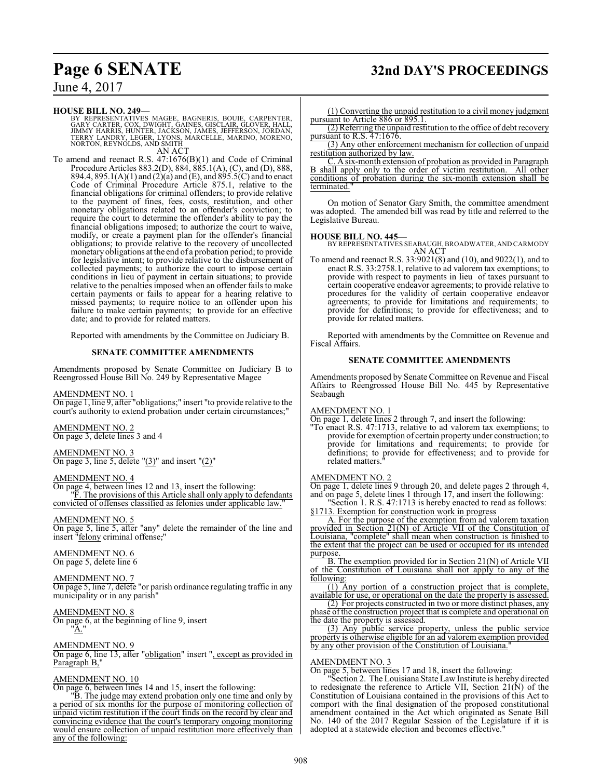# **Page 6 SENATE 32nd DAY'S PROCEEDINGS**

June 4, 2017

#### **HOUSE BILL NO. 249—**

BY REPRESENTATIVES MAGEE, BAGNERIS, BOUIE, CARPENTER,<br>GARY CARTER, COX, DWIGHT, GAINES, GISCLAIR, GLOVER, HALL,<br>JIMMY HARRIS, HUNTER, JACKSON, JAMES, JEFFERSON, JORDAN,<br>TERRY LANDRY, LEGER, LYONS, MARCELLE, MARINO, MORENO, AN ACT

To amend and reenact R.S. 47:1676(B)(1) and Code of Criminal Procedure Articles 883.2(D), 884, 885.1(A), (C), and (D), 888, 894.4, 895.1(A)(1) and (2)(a) and (E), and 895.5(C) and to enact Code of Criminal Procedure Article 875.1, relative to the financial obligations for criminal offenders; to provide relative to the payment of fines, fees, costs, restitution, and other monetary obligations related to an offender's conviction; to require the court to determine the offender's ability to pay the financial obligations imposed; to authorize the court to waive, modify, or create a payment plan for the offender's financial obligations; to provide relative to the recovery of uncollected monetary obligations at the end of a probation period; to provide for legislative intent; to provide relative to the disbursement of collected payments; to authorize the court to impose certain conditions in lieu of payment in certain situations; to provide relative to the penalties imposed when an offender fails to make certain payments or fails to appear for a hearing relative to missed payments; to require notice to an offender upon his failure to make certain payments; to provide for an effective date; and to provide for related matters.

Reported with amendments by the Committee on Judiciary B.

#### **SENATE COMMITTEE AMENDMENTS**

Amendments proposed by Senate Committee on Judiciary B to Reengrossed House Bill No. 249 by Representative Magee

#### AMENDMENT NO. 1

On page 1, line 9, after "obligations;" insert "to provide relative to the court's authority to extend probation under certain circumstances;"

AMENDMENT NO. 2 On page 3, delete lines 3 and 4

AMENDMENT NO. 3 On page 3, line 5, delete  $\degree$ (3) $\degree$  and insert  $\degree$ (2) $\degree$ 

#### AMENDMENT NO. 4

On page 4, between lines 12 and 13, insert the following: "F. The provisions of this Article shall only apply to defendants convicted of offenses classified as felonies under applicable law."

#### AMENDMENT NO. 5

On page 5, line 5, after "any" delete the remainder of the line and insert "felony criminal offense,"

#### AMENDMENT NO. 6 On page 5, delete line 6

AMENDMENT NO. 7 On page 5, line 7, delete "or parish ordinance regulating traffic in any municipality or in any parish<sup>'</sup>

AMENDMENT NO. 8 On page 6, at the beginning of line 9, insert "A."

#### AMENDMENT NO. 9

On page 6, line 13, after "obligation" insert ", except as provided in Paragraph<sup>B,"</sup>

#### AMENDMENT NO. 10

On page 6, between lines 14 and 15, insert the following:

"B. The judge may extend probation only one time and only by a period of six months for the purpose of monitoring collection of unpaid victim restitution if the court finds on the record by clear and convincing evidence that the court's temporary ongoing monitoring would ensure collection of unpaid restitution more effectively than any of the following:

(1) Converting the unpaid restitution to a civil money judgment pursuant to Article 886 or 895.1.

(2) Referring the unpaid restitution to the office of debt recovery pursuant to R.S. 47:1676.

(3) Any other enforcement mechanism for collection of unpaid restitution authorized by law.

C. A six-month extension of probation as provided in Paragraph B shall apply only to the order of victim restitution. All other conditions of probation during the six-month extension shall be terminated."

On motion of Senator Gary Smith, the committee amendment was adopted. The amended bill was read by title and referred to the Legislative Bureau.

#### **HOUSE BILL NO. 445—**

BY REPRESENTATIVES SEABAUGH, BROADWATER, AND CARMODY AN ACT

To amend and reenact R.S. 33:9021(8) and (10), and 9022(1), and to enact R.S. 33:2758.1, relative to ad valorem tax exemptions; to provide with respect to payments in lieu of taxes pursuant to certain cooperative endeavor agreements; to provide relative to procedures for the validity of certain cooperative endeavor agreements; to provide for limitations and requirements; to provide for definitions; to provide for effectiveness; and to provide for related matters.

Reported with amendments by the Committee on Revenue and Fiscal Affairs.

#### **SENATE COMMITTEE AMENDMENTS**

Amendments proposed by Senate Committee on Revenue and Fiscal Affairs to Reengrossed House Bill No. 445 by Representative Seabaugh

#### AMENDMENT NO. 1

On page 1, delete lines 2 through 7, and insert the following:

"To enact R.S. 47:1713, relative to ad valorem tax exemptions; to provide for exemption of certain property under construction; to provide for limitations and requirements; to provide for definitions; to provide for effectiveness; and to provide for related matters."

#### AMENDMENT NO. 2

On page 1, delete lines 9 through 20, and delete pages 2 through 4, and on page 5, delete lines 1 through 17, and insert the following: "Section 1. R.S. 47:1713 is hereby enacted to read as follows:

§1713. Exemption for construction work in progress

A. For the purpose of the exemption from ad valorem taxation provided in Section 21(N) of Article VII of the Constitution of Louisiana, "complete" shall mean when construction is finished to the extent that the project can be used or occupied for its intended purpose.

B. The exemption provided for in Section 21(N) of Article VII of the Constitution of Louisiana shall not apply to any of the following:

(1) Any portion of a construction project that is complete, available for use, or operational on the date the property is assessed.

(2) For projects constructed in two or more distinct phases, any phase of the construction project that is complete and operational on the date the property is assessed.

(3) Any public service property, unless the public service property is otherwise eligible for an ad valorem exemption provided by any other provision of the Constitution of Louisiana."

#### AMENDMENT NO. 3

On page 5, between lines 17 and 18, insert the following:

"Section 2. The Louisiana State Law Institute is hereby directed to redesignate the reference to Article VII, Section  $21(N)$  of the Constitution of Louisiana contained in the provisions of this Act to comport with the final designation of the proposed constitutional amendment contained in the Act which originated as Senate Bill No. 140 of the 2017 Regular Session of the Legislature if it is adopted at a statewide election and becomes effective."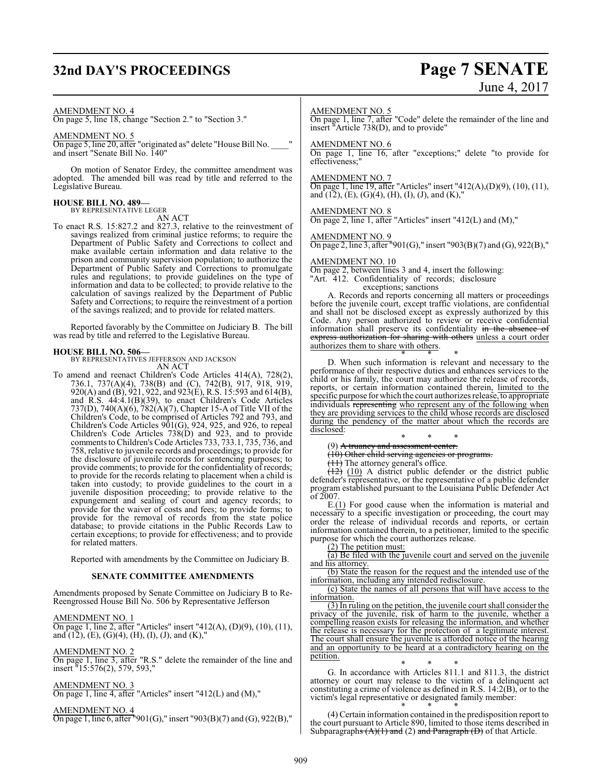# **32nd DAY'S PROCEEDINGS Page 7 SENATE**

# June 4, 2017

#### AMENDMENT NO. 4

On page 5, line 18, change "Section 2." to "Section 3."

#### AMENDMENT NO. 5

On page 5, line 20, after "originated as" delete "House Bill No. \_\_\_\_" and insert "Senate Bill No. 140"

On motion of Senator Erdey, the committee amendment was adopted. The amended bill was read by title and referred to the Legislative Bureau.

#### **HOUSE BILL NO. 489—** BY REPRESENTATIVE LEGER

AN ACT

To enact R.S. 15:827.2 and 827.3, relative to the reinvestment of savings realized from criminal justice reforms; to require the Department of Public Safety and Corrections to collect and make available certain information and data relative to the prison and community supervision population; to authorize the Department of Public Safety and Corrections to promulgate rules and regulations; to provide guidelines on the type of information and data to be collected; to provide relative to the calculation of savings realized by the Department of Public Safety and Corrections; to require the reinvestment of a portion of the savings realized; and to provide for related matters.

Reported favorably by the Committee on Judiciary B. The bill was read by title and referred to the Legislative Bureau.

**HOUSE BILL NO. 506—** BY REPRESENTATIVES JEFFERSON AND JACKSON AN ACT

To amend and reenact Children's Code Articles 414(A), 728(2), 736.1, 737(A)(4), 738(B) and (C), 742(B), 917, 918, 919, 920(A) and (B), 921, 922, and 923(E), R.S. 15:593 and 614(B), and R.S. 44:4.1(B)(39), to enact Children's Code Articles 737(D), 740(A)(6), 782(A)(7), Chapter 15-A of Title VII of the Children's Code, to be comprised of Articles 792 and 793, and Children's Code Articles 901(G), 924, 925, and 926, to repeal Children's Code Articles 738(D) and 923, and to provide comments to Children's Code Articles 733, 733.1, 735, 736, and 758, relative to juvenile records and proceedings; to provide for the disclosure of juvenile records for sentencing purposes; to provide comments; to provide for the confidentiality of records; to provide for the records relating to placement when a child is taken into custody; to provide guidelines to the court in a juvenile disposition proceeding; to provide relative to the expungement and sealing of court and agency records; to provide for the waiver of costs and fees; to provide forms; to provide for the removal of records from the state police database; to provide citations in the Public Records Law to certain exceptions; to provide for effectiveness; and to provide for related matters.

Reported with amendments by the Committee on Judiciary B.

#### **SENATE COMMITTEE AMENDMENTS**

Amendments proposed by Senate Committee on Judiciary B to Re-Reengrossed House Bill No. 506 by Representative Jefferson

AMENDMENT NO. 1 On page 1, line 2, after "Articles" insert "412(A), (D)(9), (10), (11), and  $(12)$ ,  $(E)$ ,  $(G)(4)$ ,  $(H)$ ,  $(I)$ ,  $(J)$ , and  $(K)$ ,"

AMENDMENT NO. 2

On page 1, line 3, after "R.S." delete the remainder of the line and insert "15:576(2), 579, 593,"

AMENDMENT NO. 3

On page 1, line 4, after "Articles" insert "412(L) and (M),"

AMENDMENT NO. 4 On page 1, line 6, after "901(G)," insert "903(B)(7) and (G), 922(B),"

#### AMENDMENT NO. 5

On page 1, line 7, after "Code" delete the remainder of the line and insert "Article 738(D), and to provide"

#### AMENDMENT NO. 6

On page 1, line 16, after "exceptions;" delete "to provide for effectiveness;"

#### AMENDMENT NO. 7

On page 1, line 19, after "Articles" insert "412(A),(D)(9), (10), (11), and  $(12)$ ,  $(E)$ ,  $(G)(4)$ ,  $(H)$ ,  $(I)$ ,  $(J)$ , and  $(K)$ ,"

#### AMENDMENT NO. 8

On page 2, line 1, after "Articles" insert "412(L) and (M),"

#### AMENDMENT NO. 9

On page 2, line 3, after "901(G)," insert "903(B)(7) and (G), 922(B),"

#### AMENDMENT NO. 10

On page 2, between lines 3 and 4, insert the following: "Art. 412. Confidentiality of records; disclosure

exceptions; sanctions

A. Records and reports concerning all matters or proceedings before the juvenile court, except traffic violations, are confidential and shall not be disclosed except as expressly authorized by this Code. Any person authorized to review or receive confidential information shall preserve its confidentiality in the absence of express authorization for sharing with others unless a court order authorizes them to share with others.

\* \* \* D. When such information is relevant and necessary to the performance of their respective duties and enhances services to the child or his family, the court may authorize the release of records, reports, or certain information contained therein, limited to the specific purpose for which the court authorizes release, to appropriate individuals representing who represent any of the following when they are providing services to the child whose records are disclosed during the pendency of the matter about which the records are disclosed:

\* \* \* (9) A truancy and assessment center.

(10) Other child serving agencies or programs.

 $(11)$  The attorney general's office.

(12) (10) A district public defender or the district public defender's representative, or the representative of a public defender program established pursuant to the Louisiana Public Defender Act of 2007.

E.(1) For good cause when the information is material and necessary to a specific investigation or proceeding, the court may order the release of individual records and reports, or certain information contained therein, to a petitioner, limited to the specific purpose for which the court authorizes release.

(2) The petition must:

(a) Be filed with the juvenile court and served on the juvenile and his attorney.

(b) State the reason for the request and the intended use of the information, including any intended redisclosure.

(c) State the names of all persons that will have access to the information.

(3) In ruling on the petition, the juvenile court shall consider the privacy of the juvenile, risk of harm to the juvenile, whether a compelling reason exists for releasing the information, and whether the release is necessary for the protection of a legitimate interest. The court shall ensure the juvenile is afforded notice of the hearing and an opportunity to be heard at a contradictory hearing on the petition.

\* \* \* G. In accordance with Articles 811.1 and 811.3, the district attorney or court may release to the victim of a delinquent act constituting a crime of violence as defined in R.S. 14:2(B), or to the victim's legal representative or designated family member:

\* \* \* (4) Certain information contained in the predisposition report to the court pursuant to Article 890, limited to those items described in Subparagraphs  $(A)(1)$  and (2) and Paragraph  $(D)$  of that Article.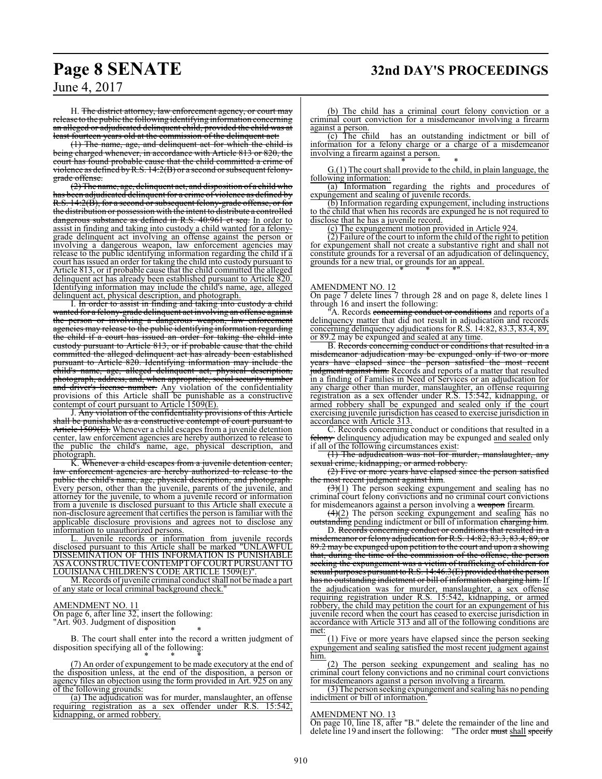H. The district attorney, law enforcement agency, or court may release to the public the following identifying information concerning an alleged or adjudicated delinquent child, provided the child was at least fourteen years old at the commission of the delinquent act:

(1) The name, age, and delinquent act for which the child is being charged whenever, in accordance with Article 813 or 820, the court has found probable cause that the child committed a crime of violence as defined byR.S. 14:2(B) or a second or subsequent felonygrade offense.

(2) The name, age, delinquent act, and disposition of a child who been adjudicated delinquent for a crime of violence as defined by R.S. 14:2(B), for a second or subsequent felony-grade offense, or for the distribution or possession with the intent to distribute a controlled dangerous substance as defined in R.S. 40:961 et seq. In order to assist in finding and taking into custody a child wanted for a felonygrade delinquent act involving an offense against the person or involving a dangerous weapon, law enforcement agencies may release to the public identifying information regarding the child if a court has issued an order for taking the child into custody pursuant to Article 813, or if probable cause that the child committed the alleged delinquent act has already been established pursuant to Article 820. Identifying information may include the child's name, age, alleged delinquent act, physical description, and photograph.

I. In order to assist in finding and taking into custody a child wanted for a felony-grade delinquent act involving an offense against the person or involving a dangerous weapon, law enforcement agencies may release to the public identifying information regarding the child if a court has issued an order for taking the child into custody pursuant to Article 813, or if probable cause that the child committed the alleged delinquent act has already been established pursuant to Article 820. Identifying information may include the child's name, age, alleged delinquent act, physical description, photograph, address, and, when appropriate, social security number and driver's license number. Any violation of the confidentiality provisions of this Article shall be punishable as a constructive contempt of court pursuant to Article 1509(E).

J. Any violation of the confidentiality provisions of this Article shall be punishable as a constructive contempt of court pursuant to Article 1509(E). Whenever a child escapes from a juvenile detention center, law enforcement agencies are hereby authorized to release to the public the child's name, age, physical description, and photograph.

K. Whenever a child escapes from a juvenile detention center, law enforcement agencies are hereby authorized to release to the public the child's name, age, physical description, and photograph. Every person, other than the juvenile, parents of the juvenile, and attorney for the juvenile, to whom a juvenile record or information from a juvenile is disclosed pursuant to this Article shall execute a non-disclosure agreement that certifies the person is familiar with the applicable disclosure provisions and agrees not to disclose any information to unauthorized persons.

L. Juvenile records or information from juvenile records disclosed pursuant to this Article shall be marked "UNLAWFUL DISSEMINATION OF THIS INFORMATION IS PUNISHABLE AS ACONSTRUCTIVE CONTEMPTOF COURTPURSUANTTO LOUISIANA CHILDREN'S CODE ARTICLE 1509(E)".

M. Records ofjuvenile criminal conduct shall not be made a part of any state or local criminal background check."

#### AMENDMENT NO. 11

On page 6, after line 32, insert the following: "Art. 903. Judgment of disposition

\* \* \* B. The court shall enter into the record a written judgment of disposition specifying all of the following:

\* \* \* (7) An order of expungement to be made executory at the end of the disposition unless, at the end of the disposition, a person or agency files an objection using the form provided in Art. 925 on any of the following grounds:

(a) The adjudication was for murder, manslaughter, an offense ring registration as a sex offender under R.S. 15:542, requiring registration as a sex offender under R.S. 15:542, kidnapping, or armed robbery.

(b) The child has a criminal court felony conviction or a criminal court conviction for a misdemeanor involving a firearm  $\frac{against a person.}{(c) The child}$ 

has an outstanding indictment or bill of information for a felony charge or a charge of a misdemeanor involving a firearm against a person.

\* \* \* G.(1) The court shall provide to the child, in plain language, the following information:

(a) Information regarding the rights and procedures of expungement and sealing of juvenile records.

(b) Information regarding expungement, including instructions to the child that when his records are expunged he is not required to disclose that he has a juvenile record.

(c) The expungement motion provided in Article 924.

 $(2)$  Failure of the court to inform the child of the right to petition for expungement shall not create a substantive right and shall not constitute grounds for a reversal of an adjudication of delinquency, grounds for a new trial, or grounds for an appeal. \* \* \*"

#### AMENDMENT NO. 12

On page 7 delete lines 7 through 28 and on page 8, delete lines 1 through 16 and insert the following:

A. Records concerning conduct or conditions and reports of a delinquency matter that did not result in adjudication and records concerning delinquency adjudications for R.S. 14:82, 83.3, 83.4, 89, or 89.2 may be expunged and sealed at any time.

B. Records concerning conduct or conditions that resulted in a misdemeanor adjudication may be expunged only if two or more years have elapsed since the person satisfied the most recent judgment against him. Records and reports of a matter that resulted in a finding of Families in Need of Services or an adjudication for any charge other than murder, manslaughter, an offense requiring registration as a sex offender under R.S. 15:542, kidnapping, or armed robbery shall be expunged and sealed only if the court exercising juvenile jurisdiction has ceased to exercise jurisdiction in accordance with Article 313.

C. Records concerning conduct or conditions that resulted in a felony delinquency adjudication may be expunged and sealed only if all of the following circumstances exist:

(1) The adjudication was not for murder, manslaughter, any sexual crime, kidnapping, or armed robbery.

(2) Five or more years have elapsed since the person satisfied most recent judgment against him.

 $(3)(1)$  The person seeking expungement and sealing has no criminal court felony convictions and no criminal court convictions for misdemeanors against a person involving a weapon firearm.

 $(4)(2)$  The person seeking expungement and sealing has no outstanding pending indictment or bill of information charging him.

D. Records concerning conduct or conditions that resulted in a misdemeanor or felony adjudication for R.S. 14:82, 83.3, 83.4, 89, or 89.2 may be expunged upon petition to the court and upon a showing that, during the time of the commission of the offense, the person seeking the expungement was a victim of trafficking of children for sexual purposes pursuant to R.S. 14:46.3(E) provided that the person has no outstanding indictment or bill of information charging him. If the adjudication was for murder, manslaughter, a sex offense requiring registration under R.S. 15:542, kidnapping, or armed robbery, the child may petition the court for an expungement of his juvenile record when the court has ceased to exercise jurisdiction in accordance with Article 313 and all of the following conditions are met:

(1) Five or more years have elapsed since the person seeking expungement and sealing satisfied the most recent judgment against him.

The person seeking expungement and sealing has no criminal court felony convictions and no criminal court convictions for misdemeanors against a person involving a firearm.

(3) The person seeking expungement and sealing has no pending indictment or bill of information."

#### AMENDMENT NO. 13

On page 10, line 18, after "B." delete the remainder of the line and delete line 19 and insert the following: "The order must shall specify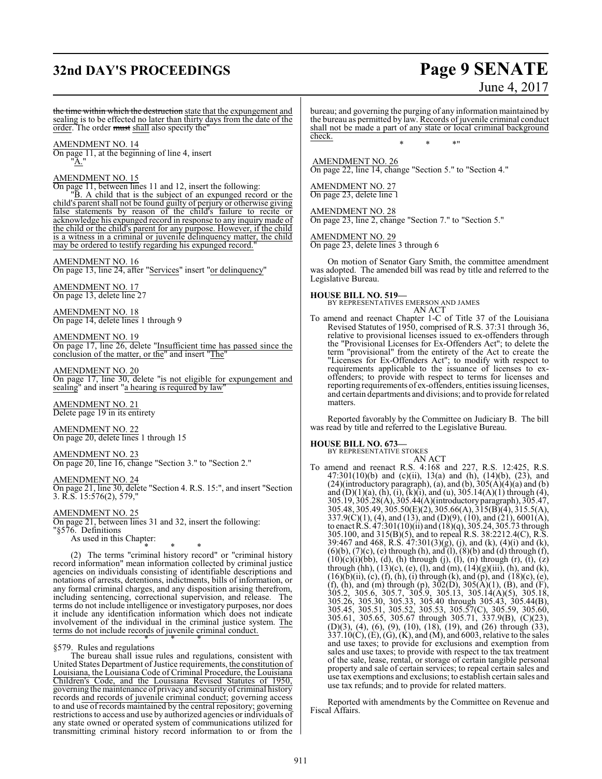# **32nd DAY'S PROCEEDINGS Page 9 SENATE**

# June 4, 2017

the time within which the destruction state that the expungement and sealing is to be effected no later than thirty days from the date of the order. The order must shall also specify the"

AMENDMENT NO. 14

On page 11, at the beginning of line 4, insert "A."

#### AMENDMENT NO. 15

On page 11, between lines 11 and 12, insert the following: "B. A child that is the subject of an expunged record or the child's parent shall not be found guilty of perjury or otherwise giving false statements by reason of the child's failure to recite or acknowledge his expunged record in response to any inquiry made of the child or the child's parent for any purpose. However, if the child is a witness in a criminal or juvenile delinquency matter, the child may be ordered to testify regarding his expunged record.

#### AMENDMENT NO. 16 On page 13, line 24, after "Services" insert "or delinquency"

AMENDMENT NO. 17 On page 13, delete line 27

AMENDMENT NO. 18 On page 14, delete lines 1 through 9

AMENDMENT NO. 19 On page 17, line 26, delete "Insufficient time has passed since the conclusion of the matter, or the" and insert "The"

AMENDMENT NO. 20 On page 17, line 30, delete "is not eligible for expungement and sealing" and insert "a hearing is required by law"

AMENDMENT NO. 21 Delete page 19 in its entirety

AMENDMENT NO. 22 On page 20, delete lines 1 through 15

AMENDMENT NO. 23

On page 20, line 16, change "Section 3." to "Section 2."

#### AMENDMENT NO. 24

On page 21, line 30, delete "Section 4. R.S. 15:", and insert "Section 3. R.S. 15:576(2), 579,"

#### AMENDMENT NO. 25

On page 21, between lines 31 and 32, insert the following:

"§576. Definitions

As used in this Chapter:

\* \* \* (2) The terms "criminal history record" or "criminal history record information" mean information collected by criminal justice agencies on individuals consisting of identifiable descriptions and notations of arrests, detentions, indictments, bills of information, or any formal criminal charges, and any disposition arising therefrom, including sentencing, correctional supervision, and release. The terms do not include intelligence or investigatory purposes, nor does it include any identification information which does not indicate involvement of the individual in the criminal justice system. The terms do not include records of juvenile criminal conduct.

#### \* \* \* §579. Rules and regulations

The bureau shall issue rules and regulations, consistent with United States Department of Justice requirements, the constitution of Louisiana, the Louisiana Code of Criminal Procedure, the Louisiana Children's Code, and the Louisiana Revised Statutes of 1950, governing the maintenance of privacy and security of criminal history records and records of juvenile criminal conduct; governing access to and use of records maintained by the central repository; governing restrictions to access and use by authorized agencies or individuals of any state owned or operated system of communications utilized for transmitting criminal history record information to or from the bureau; and governing the purging of any information maintained by the bureau as permitted by law. Records of juvenile criminal conduct shall not be made a part of any state or local criminal background check.

\* \* \*"

 AMENDMENT NO. 26 On page 22, line 14, change "Section 5." to "Section 4."

AMENDMENT NO. 27 On page 23, delete line 1

AMENDMENT NO. 28 On page 23, line 2, change "Section 7." to "Section 5."

AMENDMENT NO. 29 On page 23, delete lines 3 through 6

On motion of Senator Gary Smith, the committee amendment was adopted. The amended bill was read by title and referred to the Legislative Bureau.

**HOUSE BILL NO. 519—** BY REPRESENTATIVES EMERSON AND JAMES AN ACT

To amend and reenact Chapter 1-C of Title 37 of the Louisiana Revised Statutes of 1950, comprised of R.S. 37:31 through 36, relative to provisional licenses issued to ex-offenders through the "Provisional Licenses for Ex-Offenders Act"; to delete the term "provisional" from the entirety of the Act to create the "Licenses for Ex-Offenders Act"; to modify with respect to requirements applicable to the issuance of licenses to exoffenders; to provide with respect to terms for licenses and reporting requirements of ex-offenders, entities issuing licenses, and certain departments and divisions; and to provide for related matters.

Reported favorably by the Committee on Judiciary B. The bill was read by title and referred to the Legislative Bureau.

#### **HOUSE BILL NO. 673—**

BY REPRESENTATIVE STOKES

AN ACT To amend and reenact R.S. 4:168 and 227, R.S. 12:425, R.S. 47:301(10)(b) and (c)(ii), 13(a) and (h), (14)(b), (23), and  $(24)$ (introductory paragraph), (a), and (b),  $305(A)(4)(a)$  and (b) and  $(D)(1)(a)$ ,  $(h)$ ,  $(i)$ ,  $(k)(i)$ , and  $(u)$ , 305.14 $(A)(1)$  through  $(4)$ , 305.19, 305.28(A), 305.44(A)(introductory paragraph), 305.47, 305.48, 305.49, 305.50(E)(2), 305.66(A), 315(B)(4), 315.5(A),  $337.9(C)(1)$ , (4), and (13), and (D)(9), (10), and (21), 6001(A), to enact R.S. 47:301(10)(ii) and (18)(q), 305.24, 305.73 through 305.100, and 315(B)(5), and to repeal R.S. 38:2212.4(C), R.S. 39:467 and 468, R.S. 47:301(3)(g), (j), and (k), (4)(i) and (k),  $(6)(b)$ ,  $(7)(c)$ ,  $(e)$  through  $(h)$ , and  $(l)$ ,  $(8)(b)$  and  $(d)$  through  $(f)$ ,  $(10)(c)(i)(bb), (d), (h)$  through  $(j), (l), (n)$  through  $(r), (t), (z)$ through (hh),  $(13)(c)$ ,  $(e)$ ,  $(l)$ , and  $(m)$ ,  $(14)(g)(iii)$ ,  $(h)$ , and  $(k)$ ,  $(16)(\overline{b})(ii)$ ,  $(c)$ ,  $(f)$ ,  $(h)$ ,  $(i)$  through  $(k)$ , and  $(p)$ , and  $(18)(c)$ ,  $(e)$ , (f), (h), and (m) through (p),  $302(D)$ ,  $305(A)(1)$ , (B), and (F), 305.2, 305.6, 305.7, 305.9, 305.13, 305.14(A)(5), 305.18, 305.26, 305.30, 305.33, 305.40 through 305.43, 305.44(B), 305.45, 305.51, 305.52, 305.53, 305.57(C), 305.59, 305.60, 305.61, 305.65, 305.67 through 305.71, 337.9(B), (C)(23), (D)(3), (4), (6), (9), (10), (18), (19), and (26) through (33),  $337.10(C)$ , (E), (G), (K), and (M), and 6003, relative to the sales and use taxes; to provide for exclusions and exemption from sales and use taxes; to provide with respect to the tax treatment of the sale, lease, rental, or storage of certain tangible personal property and sale of certain services; to repeal certain sales and use tax exemptions and exclusions; to establish certain sales and use tax refunds; and to provide for related matters.

Reported with amendments by the Committee on Revenue and Fiscal Affairs.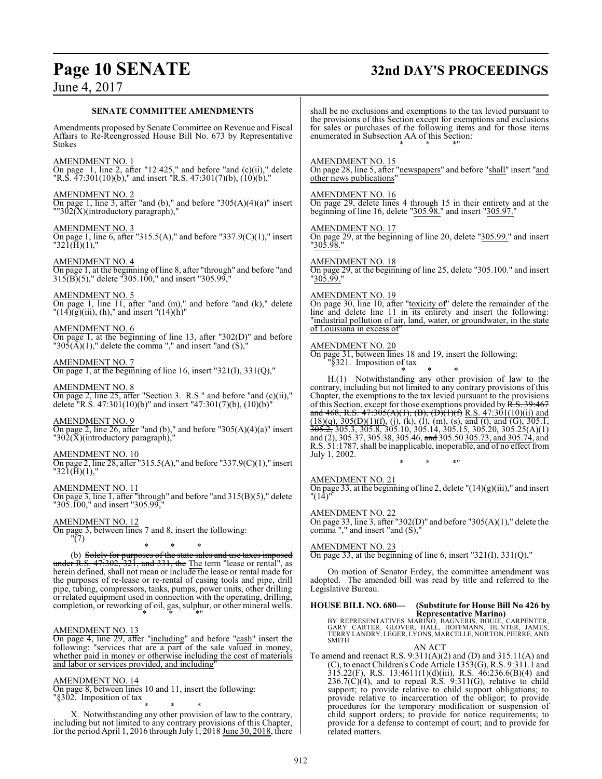# **Page 10 SENATE 32nd DAY'S PROCEEDINGS**

 $236.7(\dot{C})(4)$ , and to repeal R.S.  $9:311(\dot{G})$ , relative to child support; to provide relative to child support obligations; to provide relative to incarceration of the obligor; to provide procedures for the temporary modification or suspension of child support orders; to provide for notice requirements; to provide for a defense to contempt of court; and to provide for

## June 4, 2017

| <b>SENATE COMMITTEE AMENDMENTS</b>                                                                                                                                                                                                                                                               | shall be no exclusions and exemptions to the tax levied pursuant to<br>the provisions of this Section except for exemptions and exclusions                                                                                                                                                                                                                                                                                                                                                                                         |
|--------------------------------------------------------------------------------------------------------------------------------------------------------------------------------------------------------------------------------------------------------------------------------------------------|------------------------------------------------------------------------------------------------------------------------------------------------------------------------------------------------------------------------------------------------------------------------------------------------------------------------------------------------------------------------------------------------------------------------------------------------------------------------------------------------------------------------------------|
| Amendments proposed by Senate Committee on Revenue and Fiscal<br>Affairs to Re-Reengrossed House Bill No. 673 by Representative<br><b>Stokes</b>                                                                                                                                                 | for sales or purchases of the following items and for those items<br>enumerated in Subsection AA of this Section:                                                                                                                                                                                                                                                                                                                                                                                                                  |
| AMENDMENT NO. 1<br>On page 1, line 2, after "12:425," and before "and $(c)(ii)$ ," delete<br>"R.S. $\overline{47:301(10)}$ (b)," and insert "R.S. $47:301(7)$ (b), $\overline{(10)}$ (b),"                                                                                                       | <b>AMENDMENT NO. 15</b><br>On page 28, line 5, after "newspapers" and before "shall" insert "and<br>other news publications"                                                                                                                                                                                                                                                                                                                                                                                                       |
| <b>AMENDMENT NO. 2</b><br>On page 1, line 3, after "and (b)," and before " $305(A)(4)(a)$ " insert<br>$\frac{1}{2}$ 302(X)(introductory paragraph),"                                                                                                                                             | <b>AMENDMENT NO. 16</b><br>On page 29, delete lines 4 through 15 in their entirety and at the<br>beginning of line 16, delete "305.98." and insert "305.97."                                                                                                                                                                                                                                                                                                                                                                       |
| <u>AMENDMENT NO. 3</u><br>On page 1, line 6, after "315.5(A)," and before "337.9(C)(1)," insert<br>$"321(\text{H})(1),"$                                                                                                                                                                         | AMENDMENT NO. 17<br>On page 29, at the beginning of line 20, delete "305.99." and insert<br>"305.98."                                                                                                                                                                                                                                                                                                                                                                                                                              |
| AMENDMENT NO. 4<br>On page 1, at the beginning of line 8, after "through" and before "and<br>315(B)(5)," delete "305.100," and insert "305.99,"                                                                                                                                                  | <b>AMENDMENT NO. 18</b><br>On page 29, at the beginning of line 25, delete "305.100." and insert<br>"305.99."                                                                                                                                                                                                                                                                                                                                                                                                                      |
| $\frac{\text{AMENDMENT NO. 5}}{\text{On page 1, line 11, after "and (m)},"$ and before "and (k)," delete<br>$"(14)(g)(iii), (h),"$ and insert $"(14)(h)"$                                                                                                                                        | <b>AMENDMENT NO. 19</b><br>On page 30, line 10, after "toxicity of" delete the remainder of the<br>line and delete line 11 in its entirety and insert the following:<br>"industrial pollution of air, land, water, or groundwater, in the state                                                                                                                                                                                                                                                                                    |
| AMENDMENT NO. 6<br>On page 1, at the beginning of line 13, after " $302(D)$ " and before<br>"305( $\widetilde{A}$ )(1)," delete the comma "," and insert "and (S),"                                                                                                                              | of Louisiana in excess of"<br><b>AMENDMENT NO. 20</b><br>On page 31, between lines 18 and 19, insert the following:                                                                                                                                                                                                                                                                                                                                                                                                                |
| <b>AMENDMENT NO. 7</b><br>On page 1, at the beginning of line 16, insert "321(I), 331(Q),"                                                                                                                                                                                                       | "§321. Imposition of tax                                                                                                                                                                                                                                                                                                                                                                                                                                                                                                           |
| <b>AMENDMENT NO. 8</b><br>On page 2, line 25, after "Section 3. R.S." and before "and $(c)(ii)$ ,"<br>delete "R.S. 47:301(10)(b)" and insert "47:301(7)(b), (10)(b)"                                                                                                                             | H.(1) Notwithstanding any other provision of law to the<br>contrary, including but not limited to any contrary provisions of this<br>Chapter, the exemptions to the tax levied pursuant to the provisions<br>of this Section, except for those exemptions provided by $R.S. 39:467$                                                                                                                                                                                                                                                |
| <b>AMENDMENT NO. 9</b><br>On page 2, line 26, after "and (b)," and before "305(A)(4)(a)" insert<br>"302( $\bar{X}$ )(introductory paragraph),"                                                                                                                                                   | and 468, R.S. 47:305(A)(1), (B), (D)(1)(f) R.S. 47:301(10)(ii) and<br>$(18)(q)$ , $305(D)(1)(f)$ , $(j)$ , $(k)$ , $(l)$ , $(m)$ , $(s)$ , and $(t)$ , and $(\overrightarrow{G})$ , $305.1$ ,<br>$\overline{305.2}$ , $\overline{305.3}$ , $\overline{305.8}$ , $\overline{305.10}$ , $\overline{305.14}$ , $\overline{305.15}$ , $\overline{305.20}$ , $\overline{305.25(A)(1)}$<br>and (2), 305.37, 305.38, 305.46, and 305.50 305.73, and 305.74, and<br>R.S. 51:1787, shall be inapplicable, inoperable, and of no effect from |
| AMENDMENT NO. 10<br>On page 2, line 28, after "315.5(A)," and before "337.9(C)(1)," insert<br>$"321(\text{H})(1),"$                                                                                                                                                                              | July 1, 2002.                                                                                                                                                                                                                                                                                                                                                                                                                                                                                                                      |
| AMENDMENT NO. 11<br>On page 3, line 1, after "through" and before "and $315(B)(5)$ ," delete<br>"305.100," and insert "305.99,"                                                                                                                                                                  | AMENDMENT NO. 21<br>On page 33, at the beginning of line 2, delete $''(14)(g)(iii)$ ," and insert<br>"(14)"                                                                                                                                                                                                                                                                                                                                                                                                                        |
| <u>AMENDMENT NO. 12</u><br>On page 3, between lines 7 and 8, insert the following:<br>" $(7)$                                                                                                                                                                                                    | <b>AMENDMENT NO. 22</b><br>On page 33, line 3, after "302(D)" and before "305(A)(1)," delete the<br>comma "," and insert "and (S),"                                                                                                                                                                                                                                                                                                                                                                                                |
| *<br>*<br>*<br>(b) Solely for purposes of the state sales and use taxes imposed                                                                                                                                                                                                                  | AMENDMENT NO. 23<br>On page 33, at the beginning of line 6, insert "321(I), 331(Q),"                                                                                                                                                                                                                                                                                                                                                                                                                                               |
| $under R.S. 47:302, 321, and 331, the The term "lease or rental", as$<br>herein defined, shall not mean or include the lease or rental made for<br>the purposes of re-lease or re-rental of casing tools and pipe, drill<br>pipe, tubing, compressors, tanks, pumps, power units, other drilling | On motion of Senator Erdey, the committee amendment was<br>adopted. The amended bill was read by title and referred to the<br>Legislative Bureau.                                                                                                                                                                                                                                                                                                                                                                                  |
| or related equipment used in connection with the operating, drilling,<br>completion, or reworking of oil, gas, sulphur, or other mineral wells.                                                                                                                                                  | <b>HOUSE BILL NO. 680-</b><br>(Substitute for House Bill No 426 by                                                                                                                                                                                                                                                                                                                                                                                                                                                                 |
| <b>AMENDMENT NO. 13</b><br>On page 4, line 29, after "including" and before "cash" insert the                                                                                                                                                                                                    | <b>Representative Marino</b> )<br>BY REPRESENTATIVES MARINO, BAGNERIS, BOUIE, CARPENTER,<br>GARY CARTER, GLOVER, HALL, HOFFMANN, HUNTER, JAMES,<br>TERRY LANDRY, LEGER, LYONS, MARCELLE, NORTON, PIERRE, AND<br><b>SMITH</b>                                                                                                                                                                                                                                                                                                       |
| following: "services that are a part of the sale valued in money,<br>whether paid in money or otherwise including the cost of materials<br>and labor or services provided, and including"                                                                                                        | AN ACT<br>To amend and reenact R.S. $9:311(A)(2)$ and $(D)$ and $315.11(A)$ and<br>$(C)$ , to enact Children's Code Article 1353 $(G)$ , R.S. 9:311.1 and<br>$315.22(F)$ , R.S. $13:4611(1)(d)(iii)$ , R.S. $46:236.6(B)(4)$ and                                                                                                                                                                                                                                                                                                   |

AMENDMENT NO. 14

On page 8, between lines 10 and 11, insert the following: On page  $\circ$ ,  $\circ$  exercises  $\frac{1}{8}$   $\frac{1}{8}$   $\frac{1}{8}$   $\frac{1}{8}$   $\frac{1}{8}$   $\frac{1}{8}$   $\frac{1}{8}$   $\frac{1}{8}$   $\frac{1}{8}$   $\frac{1}{8}$   $\frac{1}{8}$   $\frac{1}{8}$   $\frac{1}{8}$   $\frac{1}{8}$   $\frac{1}{8}$   $\frac{1}{8}$   $\frac{1}{8}$   $\frac{1}{8}$   $\frac{1}{8}$   $\$ 

\* \* \* X. Notwithstanding any other provision of law to the contrary, including but not limited to any contrary provisions of this Chapter, for the period April 1, 2016 through July 1, 2018 June 30, 2018, there

related matters.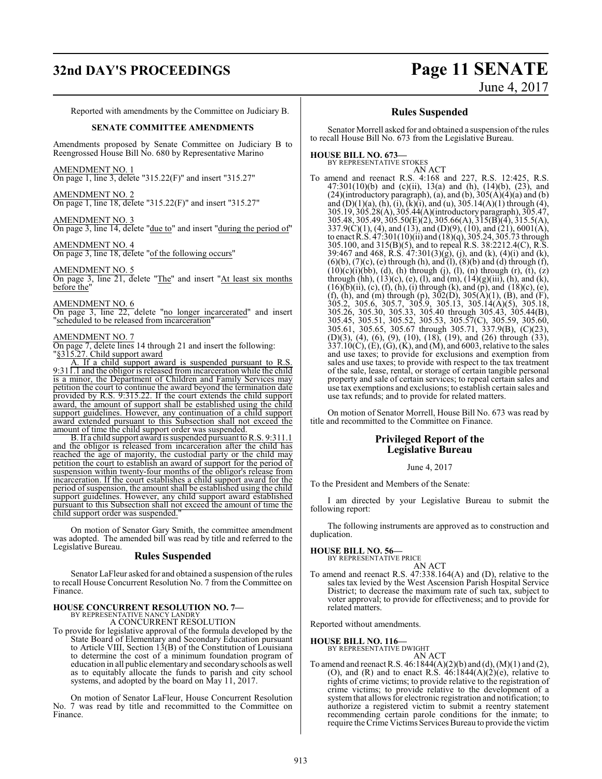# **32nd DAY'S PROCEEDINGS Page 11 SENATE**

June 4, 2017

Reported with amendments by the Committee on Judiciary B.

#### **SENATE COMMITTEE AMENDMENTS**

Amendments proposed by Senate Committee on Judiciary B to Reengrossed House Bill No. 680 by Representative Marino

AMENDMENT NO. 1 On page 1, line 3, delete "315.22(F)" and insert "315.27"

AMENDMENT NO. 2 On page 1, line 18, delete "315.22(F)" and insert "315.27"

AMENDMENT NO. 3 On page 3, line 14, delete "due to" and insert "during the period of"

AMENDMENT NO. 4 On page 3, line 18, delete "of the following occurs"

AMENDMENT NO. 5 On page 3, line 21, delete "The" and insert "At least six months before the"

AMENDMENT NO. 6 On page 3, line 22, delete "no longer incarcerated" and insert "scheduled to be released from incarceration"

#### AMENDMENT NO. 7

On page 7, delete lines 14 through 21 and insert the following: "§315.27. Child support award

A. If a child support award is suspended pursuant to R.S. 9:311.1 and the obligor is released from incarceration while the child is a minor, the Department of Children and Family Services may petition the court to continue the award beyond the termination date provided by R.S. 9:315.22. If the court extends the child support award, the amount of support shall be established using the child support guidelines. However, any continuation of a child support award extended pursuant to this Subsection shall not exceed the amount of time the child support order was suspended.

B. If a child support award is suspended pursuant to R.S. 9:311.1 and the obligor is released from incarceration after the child has reached the age of majority, the custodial party or the child may petition the court to establish an award of support for the period of suspension within twenty-four months of the obligor's release from incarceration. If the court establishes a child support award for the period of suspension, the amount shall be established using the child support guidelines. However, any child support award established pursuant to this Subsection shall not exceed the amount of time the child support order was suspended.

On motion of Senator Gary Smith, the committee amendment was adopted. The amended bill was read by title and referred to the Legislative Bureau.

#### **Rules Suspended**

Senator LaFleur asked for and obtained a suspension ofthe rules to recall House Concurrent Resolution No. 7 from the Committee on Finance.

#### **HOUSE CONCURRENT RESOLUTION NO. 7—** BY REPRESENTATIVE NANCY LANDRY

A CONCURRENT RESOLUTION

To provide for legislative approval of the formula developed by the State Board of Elementary and Secondary Education pursuant to Article VIII, Section 13(B) of the Constitution of Louisiana to determine the cost of a minimum foundation program of education in all public elementary and secondaryschools as well as to equitably allocate the funds to parish and city school systems, and adopted by the board on May 11, 2017.

On motion of Senator LaFleur, House Concurrent Resolution No. 7 was read by title and recommitted to the Committee on Finance.

#### **Rules Suspended**

Senator Morrell asked for and obtained a suspension of the rules to recall House Bill No. 673 from the Legislative Bureau.

## **HOUSE BILL NO. 673—** BY REPRESENTATIVE STOKES

AN ACT

To amend and reenact R.S. 4:168 and 227, R.S. 12:425, R.S. 47:301(10)(b) and (c)(ii), 13(a) and (h), (14)(b), (23), and  $(24)$ (introductory paragraph), (a), and (b),  $305(A)(4)(a)$  and (b) and  $(D)(1)(a)$ ,  $(h)$ ,  $(i)$ ,  $(k)(i)$ , and  $(u)$ , 305.14 $(A)(1)$  through  $(4)$ , 305.19, 305.28(A), 305.44(A)(introductory paragraph), 305.47, 305.48, 305.49, 305.50(E)(2), 305.66(A), 315(B)(4), 315.5(A),  $337.9(C)(1)$ , (4), and (13), and (D)(9), (10), and (21), 6001(A), to enact R.S. 47:301(10)(ii) and (18)(q), 305.24, 305.73 through 305.100, and 315(B)(5), and to repeal R.S. 38:2212.4(C), R.S. 39:467 and 468, R.S. 47:301(3)(g), (j), and (k), (4)(i) and (k),  $(6)(b)$ ,  $(7)(c)$ ,  $(e)$  through  $(h)$ , and  $(l)$ ,  $(8)(b)$  and  $(d)$  through  $(f)$ ,  $(10)(c)(i)(bb), (d), (h)$  through  $(j), (l), (n)$  through  $(r), (t), (z)$ through (hh),  $(13)(c)$ ,  $(e)$ ,  $(l)$ , and  $(m)$ ,  $(14)(g)(iii)$ ,  $(h)$ , and  $(k)$ ,  $(16)(\overline{b})(ii)$ , (c), (f), (h), (i) through (k), and (p), and (18)(c), (e), (f), (h), and (m) through (p),  $302(D)$ ,  $305(A)(1)$ , (B), and (F), 305.2, 305.6, 305.7, 305.9, 305.13, 305.14(A)(5), 305.18, 305.26, 305.30, 305.33, 305.40 through 305.43, 305.44(B), 305.45, 305.51, 305.52, 305.53, 305.57(C), 305.59, 305.60, 305.61, 305.65, 305.67 through 305.71, 337.9(B), (C)(23), (D)(3), (4), (6), (9), (10), (18), (19), and (26) through (33),  $337.10(C)$ , (E), (G), (K), and (M), and 6003, relative to the sales and use taxes; to provide for exclusions and exemption from sales and use taxes; to provide with respect to the tax treatment of the sale, lease, rental, or storage of certain tangible personal property and sale of certain services; to repeal certain sales and use tax exemptions and exclusions; to establish certain sales and use tax refunds; and to provide for related matters.

On motion of Senator Morrell, House Bill No. 673 was read by title and recommitted to the Committee on Finance.

#### **Privileged Report of the Legislative Bureau**

June 4, 2017

To the President and Members of the Senate:

I am directed by your Legislative Bureau to submit the following report:

The following instruments are approved as to construction and duplication.

## **HOUSE BILL NO. 56—** BY REPRESENTATIVE PRICE

AN ACT

To amend and reenact R.S. 47:338.164(A) and (D), relative to the sales tax levied by the West Ascension Parish Hospital Service District; to decrease the maximum rate of such tax, subject to voter approval; to provide for effectiveness; and to provide for related matters.

Reported without amendments.

#### **HOUSE BILL NO. 116—**

BY REPRESENTATIVE DWIGHT

AN ACT To amend and reenact R.S.  $46:1844(A)(2)(b)$  and  $(d)$ ,  $(M)(1)$  and  $(2)$ , (O), and (R) and to enact R.S.  $46:1844(A)(2)(e)$ , relative to rights of crime victims; to provide relative to the registration of crime victims; to provide relative to the development of a system that allows for electronic registration and notification; to authorize a registered victim to submit a reentry statement recommending certain parole conditions for the inmate; to require the Crime Victims Services Bureau to provide the victim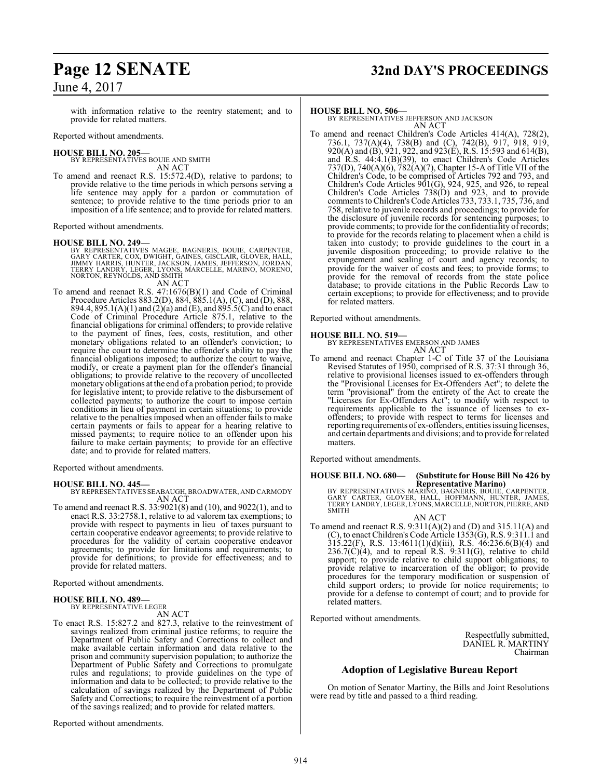with information relative to the reentry statement; and to provide for related matters.

Reported without amendments.

#### **HOUSE BILL NO. 205—**

BY REPRESENTATIVES BOUIE AND SMITH AN ACT

To amend and reenact R.S. 15:572.4(D), relative to pardons; to provide relative to the time periods in which persons serving a life sentence may apply for a pardon or commutation of sentence; to provide relative to the time periods prior to an imposition of a life sentence; and to provide for related matters.

Reported without amendments.

#### **HOUSE BILL NO. 249—**

BY REPRESENTATIVES MAGEE, BAGNERIS, BOUIE, CARPENTER,<br>GARY CARTER, COX, DWIGHT, GAINES, GISCLAIR, GLOVER, HALL,<br>JIMMY HARRIS, HUNTER, JACKSON, JAMES, JEFFERSON, JORDAN,<br>TERRY LANDRY, LEGER, LYONS, MARCELLE, MARINO, MORENO, AN ACT

To amend and reenact R.S. 47:1676(B)(1) and Code of Criminal Procedure Articles 883.2(D), 884, 885.1(A), (C), and (D), 888, 894.4, 895.1(A)(1) and (2)(a) and (E), and 895.5(C) and to enact Code of Criminal Procedure Article 875.1, relative to the financial obligations for criminal offenders; to provide relative to the payment of fines, fees, costs, restitution, and other monetary obligations related to an offender's conviction; to require the court to determine the offender's ability to pay the financial obligations imposed; to authorize the court to waive, modify, or create a payment plan for the offender's financial obligations; to provide relative to the recovery of uncollected monetary obligations at the end of a probation period; to provide for legislative intent; to provide relative to the disbursement of collected payments; to authorize the court to impose certain conditions in lieu of payment in certain situations; to provide relative to the penalties imposed when an offender fails to make certain payments or fails to appear for a hearing relative to missed payments; to require notice to an offender upon his failure to make certain payments; to provide for an effective date; and to provide for related matters.

Reported without amendments.

## **HOUSE BILL NO. 445—**

BY REPRESENTATIVES SEABAUGH, BROADWATER, AND CARMODY AN ACT

To amend and reenact R.S. 33:9021(8) and (10), and 9022(1), and to enact R.S. 33:2758.1, relative to ad valorem tax exemptions; to provide with respect to payments in lieu of taxes pursuant to certain cooperative endeavor agreements; to provide relative to procedures for the validity of certain cooperative endeavor agreements; to provide for limitations and requirements; to provide for definitions; to provide for effectiveness; and to provide for related matters.

Reported without amendments.

#### **HOUSE BILL NO. 489—** BY REPRESENTATIVE LEGER

AN ACT

To enact R.S. 15:827.2 and 827.3, relative to the reinvestment of savings realized from criminal justice reforms; to require the Department of Public Safety and Corrections to collect and make available certain information and data relative to the prison and community supervision population; to authorize the Department of Public Safety and Corrections to promulgate rules and regulations; to provide guidelines on the type of information and data to be collected; to provide relative to the calculation of savings realized by the Department of Public Safety and Corrections; to require the reinvestment of a portion of the savings realized; and to provide for related matters.

Reported without amendments.

# **Page 12 SENATE 32nd DAY'S PROCEEDINGS**

#### **HOUSE BILL NO. 506—**

BY REPRESENTATIVES JEFFERSON AND JACKSON AN ACT

To amend and reenact Children's Code Articles 414(A), 728(2), 736.1, 737(A)(4), 738(B) and (C), 742(B), 917, 918, 919, 920(A) and (B), 921, 922, and 923(E), R.S. 15:593 and 614(B), and R.S. 44:4.1(B)(39), to enact Children's Code Articles 737(D), 740(A)(6), 782(A)(7), Chapter 15-A of Title VII of the Children's Code, to be comprised of Articles 792 and 793, and Children's Code Articles  $901(G)$ , 924, 925, and 926, to repeal Children's Code Articles 738(D) and 923, and to provide comments to Children's Code Articles 733, 733.1, 735, 736, and 758, relative to juvenile records and proceedings; to provide for the disclosure of juvenile records for sentencing purposes; to provide comments; to provide for the confidentiality of records; to provide for the records relating to placement when a child is taken into custody; to provide guidelines to the court in a juvenile disposition proceeding; to provide relative to the expungement and sealing of court and agency records; to provide for the waiver of costs and fees; to provide forms; to provide for the removal of records from the state police database; to provide citations in the Public Records Law to certain exceptions; to provide for effectiveness; and to provide for related matters.

Reported without amendments.

#### **HOUSE BILL NO. 519—**

BY REPRESENTATIVES EMERSON AND JAMES AN ACT

To amend and reenact Chapter 1-C of Title 37 of the Louisiana Revised Statutes of 1950, comprised of R.S. 37:31 through 36, relative to provisional licenses issued to ex-offenders through the "Provisional Licenses for Ex-Offenders Act"; to delete the term "provisional" from the entirety of the Act to create the "Licenses for Ex-Offenders Act"; to modify with respect to requirements applicable to the issuance of licenses to exoffenders; to provide with respect to terms for licenses and reporting requirements of ex-offenders, entities issuing licenses, and certain departments and divisions; and to provide for related matters.

Reported without amendments.

# **HOUSE BILL NO. 680— (Substitute for House Bill No 426 by**

**Representative Marino)<br>BY REPRESENTATIVES MARINO, BAGNERIS, BOUIE, CARPENTER,<br>GARY CARTER, GLOVER, HALL, HOFFMANN, HUNTER, JAMES,<br>TERRY LANDRY, LEGER, LYONS, MARCELLE, NORTON, PIERRE, AND** SMITH

AN ACT To amend and reenact R.S.  $9:311(A)(2)$  and (D) and  $315.11(A)$  and (C), to enact Children's Code Article 1353(G), R.S. 9:311.1 and 315.22(F), R.S. 13:4611(1)(d)(iii), R.S. 46:236.6(B)(4) and  $236.7(\dot{C})(4)$ , and to repeal R.S.  $9.311(\dot{G})$ , relative to child support; to provide relative to child support obligations; to provide relative to incarceration of the obligor; to provide procedures for the temporary modification or suspension of child support orders; to provide for notice requirements; to provide for a defense to contempt of court; and to provide for related matters.

Reported without amendments.

Respectfully submitted, DANIEL R. MARTINY Chairman

## **Adoption of Legislative Bureau Report**

On motion of Senator Martiny, the Bills and Joint Resolutions were read by title and passed to a third reading.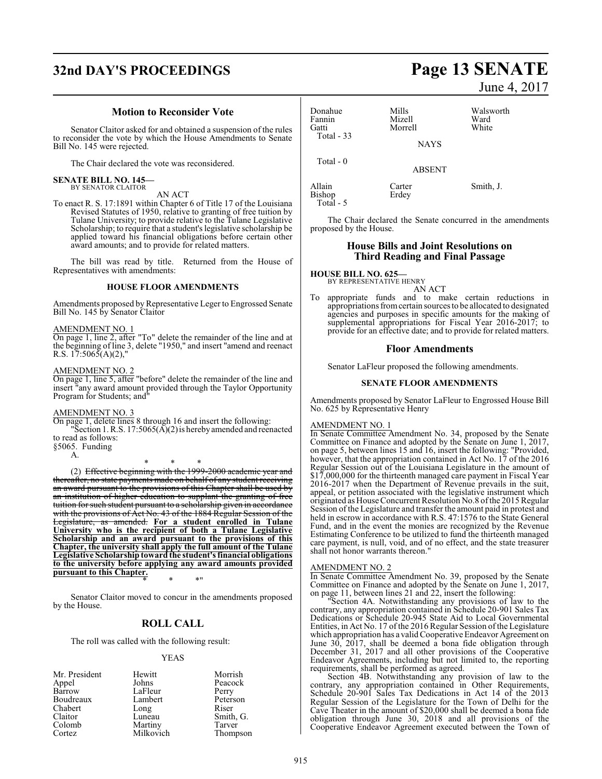# **32nd DAY'S PROCEEDINGS Page 13 SENATE**

#### **Motion to Reconsider Vote**

Senator Claitor asked for and obtained a suspension of the rules to reconsider the vote by which the House Amendments to Senate Bill No. 145 were rejected.

The Chair declared the vote was reconsidered.

#### **SENATE BILL NO. 145—** BY SENATOR CLAITOR

#### AN ACT

To enact R. S. 17:1891 within Chapter 6 of Title 17 of the Louisiana Revised Statutes of 1950, relative to granting of free tuition by Tulane University; to provide relative to the Tulane Legislative Scholarship; to require that a student's legislative scholarship be applied toward his financial obligations before certain other award amounts; and to provide for related matters.

The bill was read by title. Returned from the House of Representatives with amendments:

#### **HOUSE FLOOR AMENDMENTS**

Amendments proposed by Representative Leger to Engrossed Senate Bill No. 145 by Senator Claitor

AMENDMENT NO. 1

On page 1, line 2, after "To" delete the remainder of the line and at the beginning of line 3, delete "1950," and insert "amend and reenact R.S.  $17:506\overline{5}(A)(2)$ ,

#### AMENDMENT NO. 2

On page 1, line 5, after "before" delete the remainder of the line and insert "any award amount provided through the Taylor Opportunity Program for Students; and"

#### AMENDMENT NO. 3

On page 1, delete lines 8 through 16 and insert the following: "Section 1. R.S.  $17:5065(\overline{A})(2)$  is hereby amended and reenacted

to read as follows:

§5065. Funding A.

\* \* \* (2) Effective beginning with the 1999-2000 academic year and thereafter, no state payments made on behalf of any student receiving an award pursuant to the provisions of this Chapter shall be used by an institution of higher education to supplant the granting of free tuition for such student pursuant to a scholarship given in accordance with the provisions of Act No. 43 of the 1884 Regular Session of the Legislature, as amended. **For a student enrolled in Tulane University who is the recipient of both a Tulane Legislative Scholarship and an award pursuant to the provisions of this Chapter, the university shall apply the full amount of the Tulane Legislative Scholarship toward the student's financial obligations to the university before applying any award amounts provided pursuant to this Chapter.**

\* \* \*"

Senator Claitor moved to concur in the amendments proposed by the House.

## **ROLL CALL**

The roll was called with the following result:

#### YEAS

| Mr. President | Hewitt    | Morrish   |
|---------------|-----------|-----------|
| Appel         | Johns     | Peacock   |
| Barrow        | LaFleur   | Perry     |
| Boudreaux     | Lambert   | Peterson  |
| Chabert       | Long      | Riser     |
| Claitor       | Luneau    | Smith, G. |
| Colomb        | Martiny   | Tarver    |
| Cortez        | Milkovich | Thompson  |

June 4, 2017

| Donahue<br>Fannin<br>Gatti<br><b>Total - 33</b> | Mills<br>Mizell<br>Morrell | Walsworth<br>Ward<br>White |
|-------------------------------------------------|----------------------------|----------------------------|
|                                                 | <b>NAYS</b>                |                            |
| Total $-0$                                      | <b>ABSENT</b>              |                            |
| Allain<br>Bishop<br>Total - 5                   | Carter<br>Erdey            | Smith, J.                  |

The Chair declared the Senate concurred in the amendments proposed by the House.

#### **House Bills and Joint Resolutions on Third Reading and Final Passage**

**HOUSE BILL NO. 625—** BY REPRESENTATIVE HENRY

AN ACT

To appropriate funds and to make certain reductions in appropriations fromcertain sources to be allocated to designated agencies and purposes in specific amounts for the making of supplemental appropriations for Fiscal Year 2016-2017; to provide for an effective date; and to provide for related matters.

#### **Floor Amendments**

Senator LaFleur proposed the following amendments.

#### **SENATE FLOOR AMENDMENTS**

Amendments proposed by Senator LaFleur to Engrossed House Bill No. 625 by Representative Henry

#### AMENDMENT NO. 1

In Senate Committee Amendment No. 34, proposed by the Senate Committee on Finance and adopted by the Senate on June 1, 2017, on page 5, between lines 15 and 16, insert the following: "Provided, however, that the appropriation contained in Act No. 17 of the 2016 Regular Session out of the Louisiana Legislature in the amount of \$17,000,000 for the thirteenth managed care payment in Fiscal Year 2016-2017 when the Department of Revenue prevails in the suit, appeal, or petition associated with the legislative instrument which originated as House Concurrent Resolution No.8 ofthe 2015Regular Session of the Legislature and transfer the amount paid in protest and held in escrow in accordance with R.S. 47:1576 to the State General Fund, and in the event the monies are recognized by the Revenue Estimating Conference to be utilized to fund the thirteenth managed care payment, is null, void, and of no effect, and the state treasurer shall not honor warrants thereon."

#### AMENDMENT NO. 2

In Senate Committee Amendment No. 39, proposed by the Senate Committee on Finance and adopted by the Senate on June 1, 2017, on page 11, between lines 21 and 22, insert the following:

"Section 4A. Notwithstanding any provisions of law to the contrary, any appropriation contained in Schedule 20-901 Sales Tax Dedications or Schedule 20-945 State Aid to Local Governmental Entities, in Act No. 17 of the 2016 Regular Session ofthe Legislature which appropriation has a valid Cooperative Endeavor Agreement on June 30, 2017, shall be deemed a bona fide obligation through December 31, 2017 and all other provisions of the Cooperative Endeavor Agreements, including but not limited to, the reporting requirements, shall be performed as agreed.

Section 4B. Notwithstanding any provision of law to the contrary, any appropriation contained in Other Requirements, Schedule 20-901 Sales Tax Dedications in Act 14 of the 2013 Regular Session of the Legislature for the Town of Delhi for the Cave Theater in the amount of \$20,000 shall be deemed a bona fide obligation through June 30, 2018 and all provisions of the Cooperative Endeavor Agreement executed between the Town of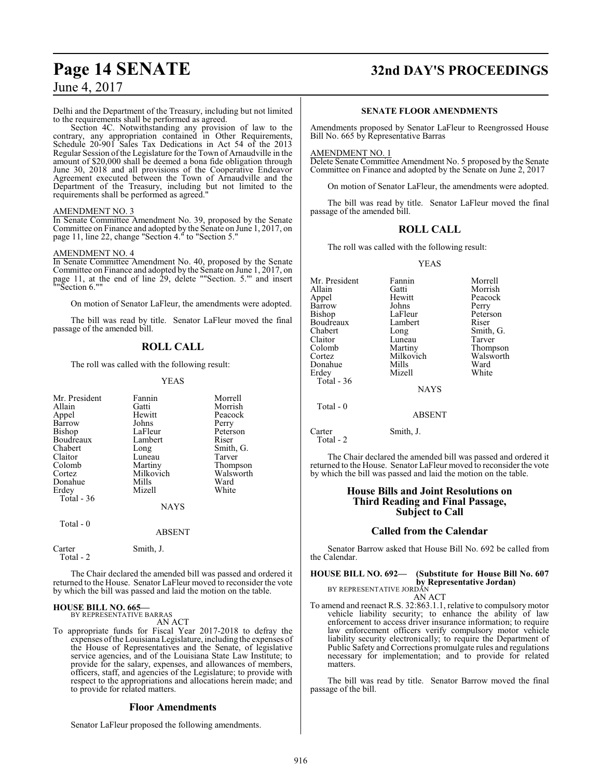# **Page 14 SENATE 32nd DAY'S PROCEEDINGS**

Delhi and the Department of the Treasury, including but not limited to the requirements shall be performed as agreed.

Section 4C. Notwithstanding any provision of law to the contrary, any appropriation contained in Other Requirements, Schedule 20-901 Sales Tax Dedications in Act 54 of the 2013 Regular Session ofthe Legislature for the Town of Arnaudville in the amount of \$20,000 shall be deemed a bona fide obligation through June 30, 2018 and all provisions of the Cooperative Endeavor Agreement executed between the Town of Arnaudville and the Department of the Treasury, including but not limited to the requirements shall be performed as agreed."

#### AMENDMENT NO. 3

In Senate Committee Amendment No. 39, proposed by the Senate Committee on Finance and adopted by the Senate on June 1, 2017, on page 11, line 22, change "Section 4." to "Section 5."

#### AMENDMENT NO. 4

In Senate Committee Amendment No. 40, proposed by the Senate Committee on Finance and adopted by the Senate on June 1, 2017, on page 11, at the end of line 29, delete ""Section. 5."' and insert ""Section 6.""

On motion of Senator LaFleur, the amendments were adopted.

The bill was read by title. Senator LaFleur moved the final passage of the amended bill.

## **ROLL CALL**

The roll was called with the following result:

#### YEAS

| Fannin        | Morrell                                                              |
|---------------|----------------------------------------------------------------------|
| Gatti         | Morrish                                                              |
| Hewitt        | Peacock                                                              |
| Johns         | Perry                                                                |
| LaFleur       | Peterson                                                             |
|               | Riser                                                                |
|               | Smith, G.                                                            |
|               | Tarver                                                               |
|               | Thompson                                                             |
|               | Walsworth                                                            |
|               | Ward                                                                 |
|               | White                                                                |
|               |                                                                      |
| <b>NAYS</b>   |                                                                      |
|               |                                                                      |
| <b>ABSENT</b> |                                                                      |
| Smith, J.     |                                                                      |
|               | Lambert<br>Long<br>Luneau<br>Martiny<br>Milkovich<br>Mills<br>Mizell |

The Chair declared the amended bill was passed and ordered it returned to the House. Senator LaFleur moved to reconsider the vote by which the bill was passed and laid the motion on the table.

#### **HOUSE BILL NO. 665—** BY REPRESENTATIVE BARRAS

AN ACT

To appropriate funds for Fiscal Year 2017-2018 to defray the expenses ofthe Louisiana Legislature, including the expenses of the House of Representatives and the Senate, of legislative service agencies, and of the Louisiana State Law Institute; to provide for the salary, expenses, and allowances of members, officers, staff, and agencies of the Legislature; to provide with respect to the appropriations and allocations herein made; and to provide for related matters.

#### **Floor Amendments**

Senator LaFleur proposed the following amendments.

#### **SENATE FLOOR AMENDMENTS**

Amendments proposed by Senator LaFleur to Reengrossed House Bill No. 665 by Representative Barras

#### AMENDMENT NO. 1

Delete Senate Committee Amendment No. 5 proposed by the Senate Committee on Finance and adopted by the Senate on June 2, 2017

On motion of Senator LaFleur, the amendments were adopted.

The bill was read by title. Senator LaFleur moved the final passage of the amended bill.

## **ROLL CALL**

The roll was called with the following result:

#### YEAS

| Mr. President | Fannin        | Morrell   |
|---------------|---------------|-----------|
| Allain        | Gatti         | Morrish   |
| Appel         | Hewitt        | Peacock   |
| <b>Barrow</b> | Johns         | Perry     |
| Bishop        | LaFleur       | Peterson  |
| Boudreaux     | Lambert       | Riser     |
| Chabert       | Long          | Smith, G. |
| Claitor       | Luneau        | Tarver    |
| Colomb        | Martiny       | Thompson  |
| Cortez        | Milkovich     | Walsworth |
| Donahue       | Mills         | Ward      |
| Erdey         | Mizell        | White     |
| Total - 36    |               |           |
|               | <b>NAYS</b>   |           |
| Total - 0     |               |           |
|               | <b>ABSENT</b> |           |
| Carter        | Smith, J.     |           |

Total - 2

matters.

The Chair declared the amended bill was passed and ordered it returned to the House. Senator LaFleur moved to reconsider the vote by which the bill was passed and laid the motion on the table.

#### **House Bills and Joint Resolutions on Third Reading and Final Passage, Subject to Call**

## **Called from the Calendar**

Senator Barrow asked that House Bill No. 692 be called from the Calendar.

#### **HOUSE BILL NO. 692— (Substitute for House Bill No. 607 by Representative Jordan)** BY REPRESENTATIVE JORDAN

AN ACT To amend and reenact R.S. 32:863.1.1, relative to compulsory motor vehicle liability security; to enhance the ability of law enforcement to access driver insurance information; to require law enforcement officers verify compulsory motor vehicle liability security electronically; to require the Department of Public Safety and Corrections promulgate rules and regulations

The bill was read by title. Senator Barrow moved the final passage of the bill.

necessary for implementation; and to provide for related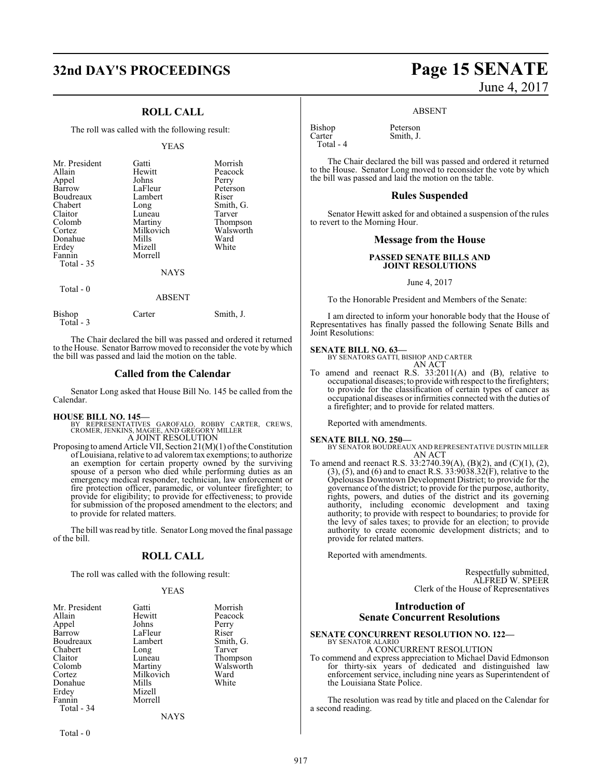# **32nd DAY'S PROCEEDINGS Page 15 SENATE**

## **ROLL CALL**

The roll was called with the following result:

#### YEAS

| Mr. President<br>Allain<br>Appel<br>Barrow<br>Boudreaux<br>Chabert<br>Claitor<br>Colomb<br>Cortez<br>Donahue<br>Erdey<br>Fannin<br>Total - 35 | Gatti<br>Hewitt<br>Johns<br>LaFleur<br>Lambert<br>Long<br>Luneau<br>Martiny<br>Milkovich<br>Mills<br>Mizell<br>Morrell<br><b>NAYS</b> | Morrish<br>Peacock<br>Perry<br>Peterson<br>Riser<br>Smith, G.<br>Tarver<br>Thompson<br>Walsworth<br>Ward<br>White |
|-----------------------------------------------------------------------------------------------------------------------------------------------|---------------------------------------------------------------------------------------------------------------------------------------|-------------------------------------------------------------------------------------------------------------------|
| Total - 0                                                                                                                                     | <b>ABSENT</b>                                                                                                                         |                                                                                                                   |

| Bishop<br>Total - 3 | Carter | Smith, J. |
|---------------------|--------|-----------|
|                     |        |           |

The Chair declared the bill was passed and ordered it returned to the House. Senator Barrowmoved to reconsider the vote by which the bill was passed and laid the motion on the table.

#### **Called from the Calendar**

Senator Long asked that House Bill No. 145 be called from the Calendar.

**HOUSE BILL NO. 145—** BY REPRESENTATIVES GAROFALO, ROBBY CARTER, CREWS, CROMER, JENKINS, MAGEE, AND GREGORY MILLER A JOINT RESOLUTION

Proposing to amend Article VII, Section  $21(M)(1)$  of the Constitution ofLouisiana, relative to ad valoremtax exemptions; to authorize an exemption for certain property owned by the surviving spouse of a person who died while performing duties as an emergency medical responder, technician, law enforcement or fire protection officer, paramedic, or volunteer firefighter; to provide for eligibility; to provide for effectiveness; to provide for submission of the proposed amendment to the electors; and to provide for related matters.

The bill was read by title. Senator Long moved the final passage of the bill.

## **ROLL CALL**

The roll was called with the following result:

#### YEAS

| Mr. President | Gatti     | Morrish   |
|---------------|-----------|-----------|
| Allain        | Hewitt    | Peacock   |
| Appel         | Johns     | Perry     |
| Barrow        | LaFleur   | Riser     |
| Boudreaux     | Lambert   | Smith, G. |
| Chabert       | Long      | Tarver    |
| Claitor       | Luneau    | Thompson  |
| Colomb        | Martiny   | Walsworth |
| Cortez        | Milkovich | Ward      |
| Donahue       | Mills     | White     |
| Erdey         | Mizell    |           |
| Fannin        | Morrell   |           |
| Total - 34    |           |           |
|               | NAYS      |           |

# June 4, 2017

#### ABSENT

Bishop Peterson<br>Carter Smith, J. Total - 4

Smith, J.

The Chair declared the bill was passed and ordered it returned to the House. Senator Long moved to reconsider the vote by which the bill was passed and laid the motion on the table.

#### **Rules Suspended**

Senator Hewitt asked for and obtained a suspension of the rules to revert to the Morning Hour.

#### **Message from the House**

#### **PASSED SENATE BILLS AND JOINT RESOLUTIONS**

June 4, 2017

To the Honorable President and Members of the Senate:

I am directed to inform your honorable body that the House of Representatives has finally passed the following Senate Bills and Joint Resolutions:

#### **SENATE BILL NO. 63—**

| BY SENATORS GATTI, BISHOP AND CARTER |  |
|--------------------------------------|--|
| AN ACT                               |  |
|                                      |  |

To amend and reenact R.S. 33:2011(A) and (B), relative to occupational diseases; to provide with respect to the firefighters; to provide for the classification of certain types of cancer as occupational diseases or infirmities connected with the duties of a firefighter; and to provide for related matters.

Reported with amendments.

#### **SENATE BILL NO. 250—**

BY SENATOR BOUDREAUX AND REPRESENTATIVE DUSTIN MILLER AN ACT

To amend and reenact R.S. 33:2740.39(A), (B)(2), and (C)(1), (2), (3), (5), and (6) and to enact R.S. 33:9038.32(F), relative to the Opelousas Downtown Development District; to provide for the governance of the district; to provide for the purpose, authority, rights, powers, and duties of the district and its governing authority, including economic development and taxing authority; to provide with respect to boundaries; to provide for the levy of sales taxes; to provide for an election; to provide authority to create economic development districts; and to provide for related matters.

Reported with amendments.

Respectfully submitted, ALFRED W. SPEER Clerk of the House of Representatives

## **Introduction of Senate Concurrent Resolutions**

#### **SENATE CONCURRENT RESOLUTION NO. 122—** BY SENATOR ALARIO

#### A CONCURRENT RESOLUTION

To commend and express appreciation to Michael David Edmonson for thirty-six years of dedicated and distinguished law enforcement service, including nine years as Superintendent of the Louisiana State Police.

The resolution was read by title and placed on the Calendar for a second reading.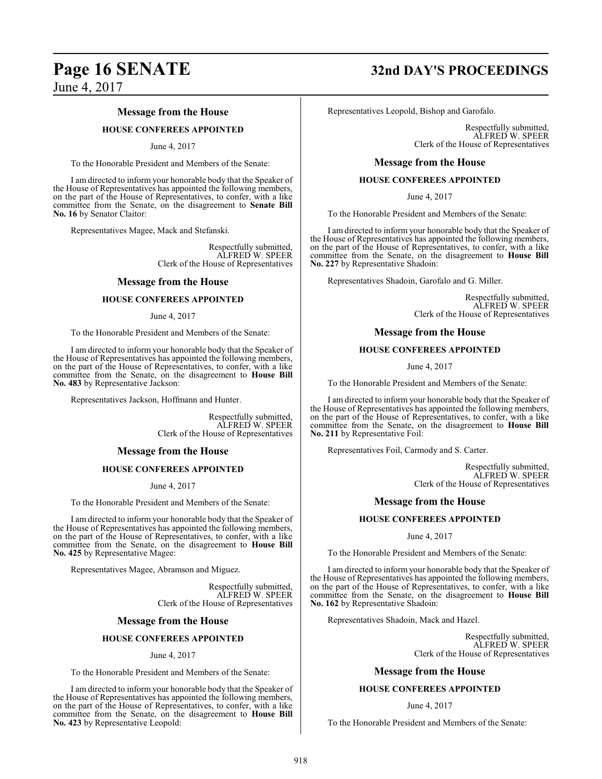#### **Message from the House**

#### **HOUSE CONFEREES APPOINTED**

#### June 4, 2017

To the Honorable President and Members of the Senate:

I am directed to inform your honorable body that the Speaker of the House of Representatives has appointed the following members, on the part of the House of Representatives, to confer, with a like committee from the Senate, on the disagreement to **Senate Bill No. 16** by Senator Claitor:

Representatives Magee, Mack and Stefanski.

Respectfully submitted, ALFRED W. SPEER Clerk of the House of Representatives

#### **Message from the House**

#### **HOUSE CONFEREES APPOINTED**

#### June 4, 2017

To the Honorable President and Members of the Senate:

I am directed to inform your honorable body that the Speaker of the House of Representatives has appointed the following members, on the part of the House of Representatives, to confer, with a like committee from the Senate, on the disagreement to **House Bill No. 483** by Representative Jackson:

Representatives Jackson, Hoffmann and Hunter.

Respectfully submitted, ALFRED W. SPEER Clerk of the House of Representatives

#### **Message from the House**

#### **HOUSE CONFEREES APPOINTED**

June 4, 2017

To the Honorable President and Members of the Senate:

I am directed to inform your honorable body that the Speaker of the House of Representatives has appointed the following members, on the part of the House of Representatives, to confer, with a like committee from the Senate, on the disagreement to **House Bill No. 425** by Representative Magee:

Representatives Magee, Abramson and Miguez.

Respectfully submitted, ALFRED W. SPEER Clerk of the House of Representatives

#### **Message from the House**

#### **HOUSE CONFEREES APPOINTED**

#### June 4, 2017

To the Honorable President and Members of the Senate:

I am directed to inform your honorable body that the Speaker of the House of Representatives has appointed the following members, on the part of the House of Representatives, to confer, with a like committee from the Senate, on the disagreement to **House Bill No. 423** by Representative Leopold:

# **Page 16 SENATE 32nd DAY'S PROCEEDINGS**

Representatives Leopold, Bishop and Garofalo.

Respectfully submitted, ALFRED W. SPEER Clerk of the House of Representatives

#### **Message from the House**

#### **HOUSE CONFEREES APPOINTED**

June 4, 2017

To the Honorable President and Members of the Senate:

I am directed to inform your honorable body that the Speaker of the House of Representatives has appointed the following members, on the part of the House of Representatives, to confer, with a like committee from the Senate, on the disagreement to **House Bill No. 227** by Representative Shadoin:

Representatives Shadoin, Garofalo and G. Miller.

Respectfully submitted, ALFRED W. SPEER Clerk of the House of Representatives

#### **Message from the House**

#### **HOUSE CONFEREES APPOINTED**

June 4, 2017

To the Honorable President and Members of the Senate:

I am directed to inform your honorable body that the Speaker of the House of Representatives has appointed the following members, on the part of the House of Representatives, to confer, with a like committee from the Senate, on the disagreement to **House Bill No. 211** by Representative Foil:

Representatives Foil, Carmody and S. Carter.

Respectfully submitted, ALFRED W. SPEER Clerk of the House of Representatives

#### **Message from the House**

#### **HOUSE CONFEREES APPOINTED**

June 4, 2017

To the Honorable President and Members of the Senate:

I am directed to inform your honorable body that the Speaker of the House of Representatives has appointed the following members, on the part of the House of Representatives, to confer, with a like committee from the Senate, on the disagreement to **House Bill No. 162** by Representative Shadoin:

Representatives Shadoin, Mack and Hazel.

Respectfully submitted, ALFRED W. SPEER Clerk of the House of Representatives

#### **Message from the House**

#### **HOUSE CONFEREES APPOINTED**

#### June 4, 2017

To the Honorable President and Members of the Senate: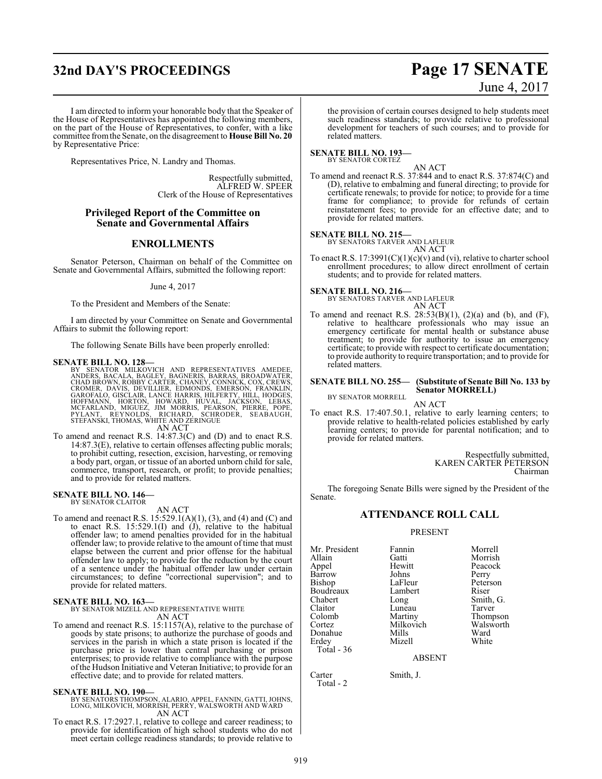# **32nd DAY'S PROCEEDINGS Page 17 SENATE**

# June 4, 2017

I am directed to inform your honorable body that the Speaker of the House of Representatives has appointed the following members, on the part of the House of Representatives, to confer, with a like committee fromthe Senate, on the disagreement to **House Bill No. 20** by Representative Price:

Representatives Price, N. Landry and Thomas.

Respectfully submitted, ALFRED W. SPEER Clerk of the House of Representatives

#### **Privileged Report of the Committee on Senate and Governmental Affairs**

## **ENROLLMENTS**

Senator Peterson, Chairman on behalf of the Committee on Senate and Governmental Affairs, submitted the following report:

June 4, 2017

To the President and Members of the Senate:

I am directed by your Committee on Senate and Governmental Affairs to submit the following report:

The following Senate Bills have been properly enrolled:

**SENATE BILL NO. 128—**<br>BY SENATOR MILKOVICH AND REPRESENTATIVES AMEDEE,<br>ANDERS, BACALA, BAGLEY, BAGNERIS, BARRAS, BROADWATER,<br>CHAD BROWN, ROBBY CARTER, CHANEY, CONNICK, COX, CREWS,<br>CROMER, DAVIS, DEVILLIER, EDMONDS, EMERSO AN ACT

To amend and reenact R.S. 14:87.3(C) and (D) and to enact R.S. 14:87.3(E), relative to certain offenses affecting public morals; to prohibit cutting, resection, excision, harvesting, or removing a body part, organ, or tissue of an aborted unborn child for sale, commerce, transport, research, or profit; to provide penalties; and to provide for related matters.

#### **SENATE BILL NO. 146—** BY SENATOR CLAITOR

AN ACT

To amend and reenact R.S. 15:529.1(A)(1), (3), and (4) and (C) and to enact R.S. 15:529.1(I) and (J), relative to the habitual offender law; to amend penalties provided for in the habitual offender law; to provide relative to the amount of time that must elapse between the current and prior offense for the habitual offender law to apply; to provide for the reduction by the court of a sentence under the habitual offender law under certain circumstances; to define "correctional supervision"; and to provide for related matters.

#### **SENATE BILL NO. 163—**

BY SENATOR MIZELL AND REPRESENTATIVE WHITE AN ACT

To amend and reenact R.S. 15:1157(A), relative to the purchase of goods by state prisons; to authorize the purchase of goods and services in the parish in which a state prison is located if the purchase price is lower than central purchasing or prison enterprises; to provide relative to compliance with the purpose ofthe Hudson Initiative and Veteran Initiative; to provide for an effective date; and to provide for related matters.

**SENATE BILL NO. 190—** BY SENATORS THOMPSON, ALARIO, APPEL, FANNIN, GATTI, JOHNS, LONG, MILKOVICH, MORRISH, PERRY, WALSWORTH AND WARD AN ACT

To enact R.S. 17:2927.1, relative to college and career readiness; to provide for identification of high school students who do not meet certain college readiness standards; to provide relative to

the provision of certain courses designed to help students meet such readiness standards; to provide relative to professional development for teachers of such courses; and to provide for related matters.

#### **SENATE BILL NO. 193—** BY SENATOR CORTEZ

AN ACT

To amend and reenact R.S. 37:844 and to enact R.S. 37:874(C) and (D), relative to embalming and funeral directing; to provide for certificate renewals; to provide for notice; to provide for a time frame for compliance; to provide for refunds of certain reinstatement fees; to provide for an effective date; and to provide for related matters.

**SENATE BILL NO. 215—** BY SENATORS TARVER AND LAFLEUR AN ACT

To enact R.S.  $17:3991(C)(1)(c)(v)$  and (vi), relative to charter school enrollment procedures; to allow direct enrollment of certain students; and to provide for related matters.

# **SENATE BILL NO. 216—** BY SENATORS TARVER AND LAFLEUR

AN ACT

To amend and reenact R.S.  $28:53(B)(1)$ ,  $(2)(a)$  and  $(b)$ , and  $(F)$ , relative to healthcare professionals who may issue an emergency certificate for mental health or substance abuse treatment; to provide for authority to issue an emergency certificate; to provide with respect to certificate documentation; to provide authority to require transportation; and to provide for related matters.

#### **SENATE BILL NO. 255— (Substitute of Senate Bill No. 133 by Senator MORRELL)**

BY SENATOR MORRELL

AN ACT To enact R.S. 17:407.50.1, relative to early learning centers; to provide relative to health-related policies established by early learning centers; to provide for parental notification; and to provide for related matters.

> Respectfully submitted, KAREN CARTER PETERSON Chairman

The foregoing Senate Bills were signed by the President of the Senate.

## **ATTENDANCE ROLL CALL**

#### PRESENT

|           | Morrell         |
|-----------|-----------------|
|           |                 |
|           | Morrish         |
| Hewitt    | Peacock         |
| Johns     | Perry           |
| LaFleur   | Peterson        |
| Lambert   | Riser           |
| Long      | Smith, G.       |
| Luneau    | Tarver          |
| Martiny   | Thompson        |
| Milkovich | Walsworth       |
| Mills     | Ward            |
| Mizell    | White           |
|           |                 |
|           | Fannin<br>Gatti |

ABSENT

Carter Smith, J. Total - 2